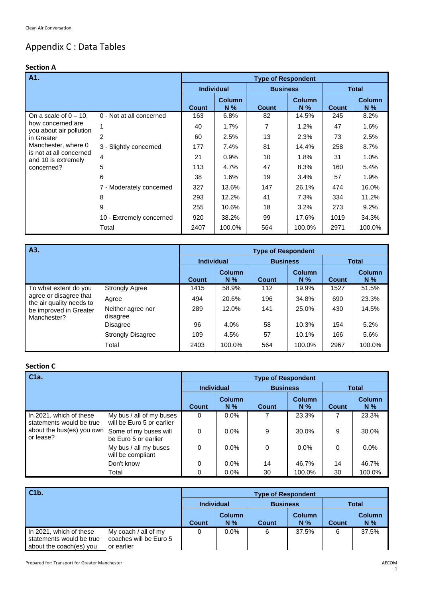# Appendix C : Data Tables

# **Section A**

| A1.                                            |                          |                   |                        | <b>Type of Respondent</b> |                      |              |                        |
|------------------------------------------------|--------------------------|-------------------|------------------------|---------------------------|----------------------|--------------|------------------------|
|                                                |                          | <b>Individual</b> |                        | <b>Business</b>           |                      | <b>Total</b> |                        |
|                                                |                          | <b>Count</b>      | <b>Column</b><br>$N\%$ | <b>Count</b>              | <b>Column</b><br>N % | <b>Count</b> | <b>Column</b><br>$N\%$ |
| On a scale of $0 - 10$ .                       | 0 - Not at all concerned | 163               | 6.8%                   | 82                        | 14.5%                | 245          | 8.2%                   |
| how concerned are<br>you about air pollution   |                          | 40                | 1.7%                   | 7                         | 1.2%                 | 47           | 1.6%                   |
| in Greater                                     | 2                        | 60                | 2.5%                   | 13                        | 2.3%                 | 73           | 2.5%                   |
| Manchester, where 0                            | 3 - Slightly concerned   | 177               | 7.4%                   | 81                        | 14.4%                | 258          | 8.7%                   |
| is not at all concerned<br>and 10 is extremely | 4                        | 21                | 0.9%                   | 10                        | 1.8%                 | 31           | 1.0%                   |
| concerned?                                     | 5                        | 113               | 4.7%                   | 47                        | 8.3%                 | 160          | 5.4%                   |
|                                                | 6                        | 38                | 1.6%                   | 19                        | 3.4%                 | 57           | 1.9%                   |
|                                                | 7 - Moderately concerned | 327               | 13.6%                  | 147                       | 26.1%                | 474          | 16.0%                  |
|                                                | 8                        | 293               | 12.2%                  | 41                        | 7.3%                 | 334          | 11.2%                  |
|                                                | 9                        | 255               | 10.6%                  | 18                        | 3.2%                 | 273          | 9.2%                   |
|                                                | 10 - Extremely concerned | 920               | 38.2%                  | 99                        | 17.6%                | 1019         | 34.3%                  |
|                                                | Total                    | 2407              | 100.0%                 | 564                       | 100.0%               | 2971         | 100.0%                 |

| A3.                                                |                               | <b>Type of Respondent</b> |                        |                 |                        |              |                        |  |  |
|----------------------------------------------------|-------------------------------|---------------------------|------------------------|-----------------|------------------------|--------------|------------------------|--|--|
|                                                    |                               | <b>Individual</b>         |                        | <b>Business</b> |                        | <b>Total</b> |                        |  |  |
|                                                    |                               | <b>Count</b>              | <b>Column</b><br>$N\%$ | <b>Count</b>    | <b>Column</b><br>$N\%$ | <b>Count</b> | <b>Column</b><br>$N\%$ |  |  |
| To what extent do you                              | <b>Strongly Agree</b>         | 1415                      | 58.9%                  | 112             | 19.9%                  | 1527         | 51.5%                  |  |  |
| agree or disagree that<br>the air quality needs to | Agree                         | 494                       | 20.6%                  | 196             | 34.8%                  | 690          | 23.3%                  |  |  |
| be improved in Greater<br>Manchester?              | Neither agree nor<br>disagree | 289                       | 12.0%                  | 141             | 25.0%                  | 430          | 14.5%                  |  |  |
|                                                    | Disagree                      | 96                        | 4.0%                   | 58              | 10.3%                  | 154          | 5.2%                   |  |  |
|                                                    | <b>Strongly Disagree</b>      | 109                       | 4.5%                   | 57              | 10.1%                  | 166          | 5.6%                   |  |  |
|                                                    | Total                         | 2403                      | 100.0%                 | 564             | 100.0%                 | 2967         | 100.0%                 |  |  |

# **Section C**

| C <sub>1a</sub> .                                   |                                                       | <b>Type of Respondent</b> |                 |                 |                        |              |                        |  |  |
|-----------------------------------------------------|-------------------------------------------------------|---------------------------|-----------------|-----------------|------------------------|--------------|------------------------|--|--|
|                                                     |                                                       | <b>Individual</b>         |                 | <b>Business</b> |                        | <b>Total</b> |                        |  |  |
|                                                     |                                                       | <b>Count</b>              | Column<br>$N\%$ | <b>Count</b>    | <b>Column</b><br>$N\%$ | Count        | <b>Column</b><br>$N\%$ |  |  |
| In 2021, which of these<br>statements would be true | My bus / all of my buses<br>will be Euro 5 or earlier | $\Omega$                  | $0.0\%$         |                 | 23.3%                  |              | 23.3%                  |  |  |
| about the bus(es) you own<br>or lease?              | Some of my buses will<br>be Euro 5 or earlier         | $\Omega$                  | 0.0%            | 9               | 30.0%                  | 9            | 30.0%                  |  |  |
|                                                     | My bus / all my buses<br>will be compliant            | $\Omega$                  | $0.0\%$         | $\Omega$        | 0.0%                   | 0            | $0.0\%$                |  |  |
|                                                     | Don't know                                            | 0                         | $0.0\%$         | 14              | 46.7%                  | 14           | 46.7%                  |  |  |
|                                                     | Total                                                 | 0                         | 0.0%            | 30              | 100.0%                 | 30           | 100.0%                 |  |  |

| C1b.                                                                           |                                                              | <b>Type of Respondent</b> |                        |                 |                        |              |                        |  |  |
|--------------------------------------------------------------------------------|--------------------------------------------------------------|---------------------------|------------------------|-----------------|------------------------|--------------|------------------------|--|--|
|                                                                                |                                                              | <b>Individual</b>         |                        | <b>Business</b> |                        | Total        |                        |  |  |
|                                                                                |                                                              | <b>Count</b>              | <b>Column</b><br>$N\%$ | Count           | <b>Column</b><br>$N\%$ | <b>Count</b> | <b>Column</b><br>$N\%$ |  |  |
| In 2021, which of these<br>statements would be true<br>about the coach(es) you | My coach / all of my<br>coaches will be Euro 5<br>or earlier | 0                         | $0.0\%$                | 6               | 37.5%                  | 6            | 37.5%                  |  |  |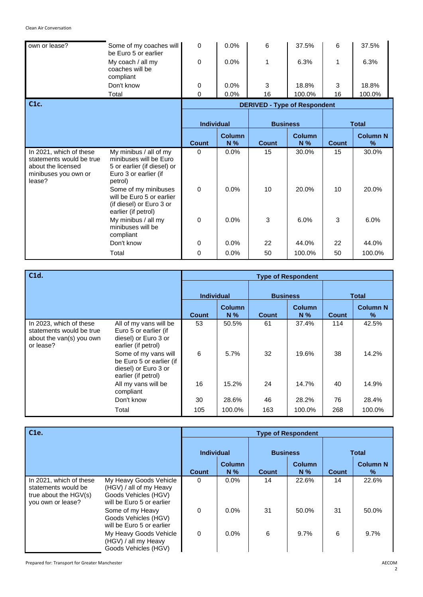| own or lease?                                                                                               | Some of my coaches will<br>be Euro 5 or earlier                                                                     | 0                 | 0.0%          | 6                                   | 37.5%  | 6            | 37.5%           |
|-------------------------------------------------------------------------------------------------------------|---------------------------------------------------------------------------------------------------------------------|-------------------|---------------|-------------------------------------|--------|--------------|-----------------|
|                                                                                                             | My coach / all my<br>coaches will be<br>compliant                                                                   | 0                 | 0.0%          | 1                                   | 6.3%   | 1            | 6.3%            |
|                                                                                                             | Don't know                                                                                                          | 0                 | 0.0%          | 3                                   | 18.8%  | 3            | 18.8%           |
|                                                                                                             | Total                                                                                                               | $\Omega$          | 0.0%          | 16                                  | 100.0% | 16           | 100.0%          |
| C <sub>1</sub> c.                                                                                           |                                                                                                                     |                   |               | <b>DERIVED - Type of Respondent</b> |        |              |                 |
|                                                                                                             |                                                                                                                     |                   |               |                                     |        |              |                 |
|                                                                                                             |                                                                                                                     | <b>Individual</b> |               | <b>Business</b>                     |        |              | <b>Total</b>    |
|                                                                                                             |                                                                                                                     |                   | <b>Column</b> |                                     | Column |              | <b>Column N</b> |
|                                                                                                             |                                                                                                                     | <b>Count</b>      | N %           | Count                               | N%     | <b>Count</b> | %               |
|                                                                                                             |                                                                                                                     |                   |               |                                     |        |              |                 |
| In 2021, which of these<br>statements would be true<br>about the licensed<br>minibuses you own or<br>lease? | My minibus / all of my<br>minibuses will be Euro<br>5 or earlier (if diesel) or<br>Euro 3 or earlier (if<br>petrol) | $\Omega$          | 0.0%          | 15                                  | 30.0%  | 15           | 30.0%           |
|                                                                                                             | Some of my minibuses<br>will be Euro 5 or earlier<br>(if diesel) or Euro 3 or<br>earlier (if petrol)                | $\Omega$          | 0.0%          | 10                                  | 20.0%  | 10           | 20.0%           |
|                                                                                                             | My minibus / all my<br>minibuses will be<br>compliant                                                               | $\mathbf 0$       | 0.0%          | 3                                   | 6.0%   | 3            | 6.0%            |
|                                                                                                             | Don't know                                                                                                          | $\mathbf 0$       | 0.0%          | 22                                  | 44.0%  | 22           | 44.0%           |

| C1d.                                                                                         |                                                                                                 |                   |                        |                 | <b>Type of Respondent</b> |              |                      |
|----------------------------------------------------------------------------------------------|-------------------------------------------------------------------------------------------------|-------------------|------------------------|-----------------|---------------------------|--------------|----------------------|
|                                                                                              |                                                                                                 | <b>Individual</b> |                        | <b>Business</b> |                           | <b>Total</b> |                      |
|                                                                                              |                                                                                                 | <b>Count</b>      | <b>Column</b><br>$N\%$ | Count           | <b>Column</b><br>$N\%$    | <b>Count</b> | <b>Column N</b><br>% |
| In 2023, which of these<br>statements would be true<br>about the van(s) you own<br>or lease? | All of my vans will be<br>Euro 5 or earlier (if<br>diesel) or Euro 3 or<br>earlier (if petrol)  | 53                | 50.5%                  | 61              | 37.4%                     | 114          | 42.5%                |
|                                                                                              | Some of my vans will<br>be Euro 5 or earlier (if<br>diesel) or Euro 3 or<br>earlier (if petrol) | 6                 | 5.7%                   | 32              | 19.6%                     | 38           | 14.2%                |
|                                                                                              | All my vans will be<br>compliant                                                                | 16                | 15.2%                  | 24              | 14.7%                     | 40           | 14.9%                |
|                                                                                              | Don't know                                                                                      | 30                | 28.6%                  | 46              | 28.2%                     | 76           | 28.4%                |
|                                                                                              | Total                                                                                           | 105               | 100.0%                 | 163             | 100.0%                    | 268          | 100.0%               |

| C1e.                                                                                           |                                                                                                        |                   |                        | <b>Type of Respondent</b> |                        |              |                      |
|------------------------------------------------------------------------------------------------|--------------------------------------------------------------------------------------------------------|-------------------|------------------------|---------------------------|------------------------|--------------|----------------------|
|                                                                                                |                                                                                                        | <b>Individual</b> |                        | <b>Business</b>           |                        | <b>Total</b> |                      |
|                                                                                                |                                                                                                        | <b>Count</b>      | <b>Column</b><br>$N\%$ | <b>Count</b>              | <b>Column</b><br>$N\%$ | <b>Count</b> | <b>Column N</b><br>% |
| In 2021, which of these<br>statements would be<br>true about the $HGV(s)$<br>you own or lease? | My Heavy Goods Vehicle<br>(HGV) / all of my Heavy<br>Goods Vehicles (HGV)<br>will be Euro 5 or earlier | $\Omega$          | $0.0\%$                | 14                        | 22.6%                  | 14           | 22.6%                |
|                                                                                                | Some of my Heavy<br>Goods Vehicles (HGV)<br>will be Euro 5 or earlier                                  | $\mathbf{0}$      | $0.0\%$                | 31                        | 50.0%                  | 31           | 50.0%                |
|                                                                                                | My Heavy Goods Vehicle<br>(HGV) / all my Heavy<br>Goods Vehicles (HGV)                                 | $\Omega$          | $0.0\%$                | 6                         | 9.7%                   | 6            | $9.7\%$              |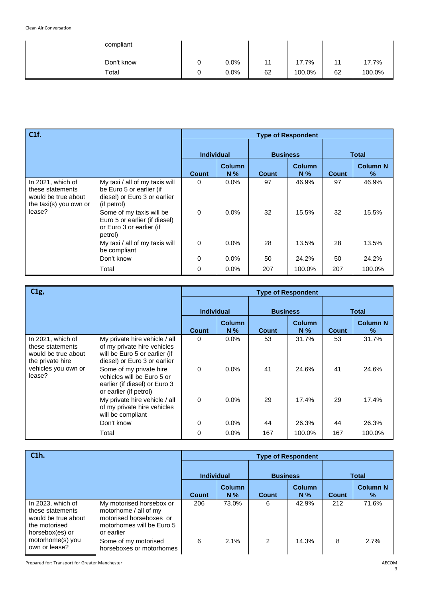| compliant  |   |         |    |        |    |        |
|------------|---|---------|----|--------|----|--------|
| Don't know | O | 0.0%    | 11 | 17.7%  | 11 | 17.7%  |
| Total      |   | $0.0\%$ | 62 | 100.0% | 62 | 100.0% |

| C1f.                                                                                   |                                                                                                           |                   |                        | <b>Type of Respondent</b> |                        |              |                      |
|----------------------------------------------------------------------------------------|-----------------------------------------------------------------------------------------------------------|-------------------|------------------------|---------------------------|------------------------|--------------|----------------------|
|                                                                                        |                                                                                                           | <b>Individual</b> |                        | <b>Business</b>           |                        | <b>Total</b> |                      |
|                                                                                        |                                                                                                           | <b>Count</b>      | <b>Column</b><br>$N\%$ | <b>Count</b>              | <b>Column</b><br>$N\%$ | <b>Count</b> | <b>Column N</b><br>% |
| In 2021, which of<br>these statements<br>would be true about<br>the taxi(s) you own or | My taxi / all of my taxis will<br>be Euro 5 or earlier (if<br>diesel) or Euro 3 or earlier<br>(if petrol) | $\Omega$          | 0.0%                   | 97                        | 46.9%                  | 97           | 46.9%                |
| lease?                                                                                 | Some of my taxis will be<br>Euro 5 or earlier (if diesel)<br>or Euro 3 or earlier (if<br>petrol)          | $\mathbf 0$       | $0.0\%$                | 32                        | 15.5%                  | 32           | 15.5%                |
|                                                                                        | My taxi / all of my taxis will<br>be compliant                                                            | $\Omega$          | $0.0\%$                | 28                        | 13.5%                  | 28           | 13.5%                |
|                                                                                        | Don't know                                                                                                | 0                 | $0.0\%$                | 50                        | 24.2%                  | 50           | 24.2%                |
|                                                                                        | Total                                                                                                     | $\Omega$          | 0.0%                   | 207                       | 100.0%                 | 207          | 100.0%               |

| C1g,                                                                             |                                                                                                                               |                   |                        | <b>Type of Respondent</b> |                        |              |                      |
|----------------------------------------------------------------------------------|-------------------------------------------------------------------------------------------------------------------------------|-------------------|------------------------|---------------------------|------------------------|--------------|----------------------|
|                                                                                  |                                                                                                                               | <b>Individual</b> |                        | <b>Business</b>           |                        | <b>Total</b> |                      |
|                                                                                  |                                                                                                                               | Count             | <b>Column</b><br>$N\%$ | <b>Count</b>              | <b>Column</b><br>$N\%$ | <b>Count</b> | <b>Column N</b><br>% |
| In 2021, which of<br>these statements<br>would be true about<br>the private hire | My private hire vehicle / all<br>of my private hire vehicles<br>will be Euro 5 or earlier (if<br>diesel) or Euro 3 or earlier | 0                 | 0.0%                   | 53                        | 31.7%                  | 53           | 31.7%                |
| vehicles you own or<br>lease?                                                    | Some of my private hire<br>vehicles will be Euro 5 or<br>earlier (if diesel) or Euro 3<br>or earlier (if petrol)              | $\Omega$          | $0.0\%$                | 41                        | 24.6%                  | 41           | 24.6%                |
|                                                                                  | My private hire vehicle / all<br>of my private hire vehicles<br>will be compliant                                             | $\Omega$          | 0.0%                   | 29                        | 17.4%                  | 29           | 17.4%                |
|                                                                                  | Don't know                                                                                                                    | $\Omega$          | 0.0%                   | 44                        | 26.3%                  | 44           | 26.3%                |
|                                                                                  | Total                                                                                                                         | 0                 | 0.0%                   | 167                       | 100.0%                 | 167          | 100.0%               |

| C1h.                                                                                             |                                                                                                                         |                   | <b>Type of Respondent</b> |                |                        |       |                      |  |  |  |
|--------------------------------------------------------------------------------------------------|-------------------------------------------------------------------------------------------------------------------------|-------------------|---------------------------|----------------|------------------------|-------|----------------------|--|--|--|
|                                                                                                  |                                                                                                                         | <b>Individual</b> |                           |                | <b>Business</b>        |       | <b>Total</b>         |  |  |  |
|                                                                                                  |                                                                                                                         | Count             | <b>Column</b><br>$N\%$    | Count          | <b>Column</b><br>$N\%$ | Count | <b>Column N</b><br>% |  |  |  |
| In 2023, which of<br>these statements<br>would be true about<br>the motorised<br>horsebox(es) or | My motorised horsebox or<br>motorhome / all of my<br>motorised horseboxes or<br>motorhomes will be Euro 5<br>or earlier | 206               | 73.0%                     | 6              | 42.9%                  | 212   | 71.6%                |  |  |  |
| motorhome(s) you<br>own or lease?                                                                | Some of my motorised<br>horseboxes or motorhomes                                                                        | 6                 | 2.1%                      | $\mathfrak{p}$ | 14.3%                  | 8     | 2.7%                 |  |  |  |

Prepared for: Transport for Greater Manchester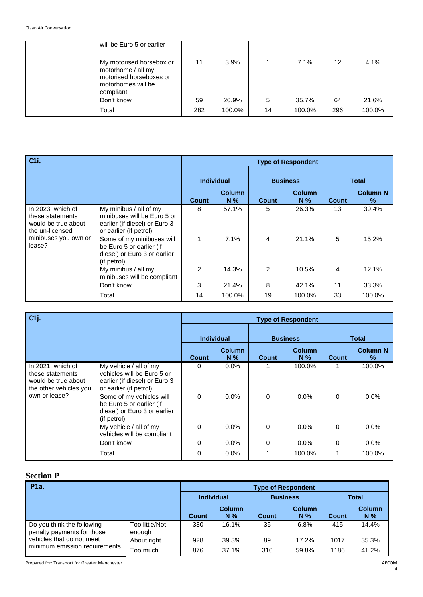| will be Euro 5 or earlier                                                                                    |     |        |    |        |     |        |
|--------------------------------------------------------------------------------------------------------------|-----|--------|----|--------|-----|--------|
| My motorised horsebox or<br>motorhome / all my<br>motorised horseboxes or<br>motorhomes will be<br>compliant | 11  | 3.9%   |    | 7.1%   | 12  | 4.1%   |
| Don't know                                                                                                   | 59  | 20.9%  | 5  | 35.7%  | 64  | 21.6%  |
| Total                                                                                                        | 282 | 100.0% | 14 | 100.0% | 296 | 100.0% |

| C <sub>1i</sub> .                                                                                                 |                                                                                                                  |    |                        |       | <b>Type of Respondent</b> |              |                         |
|-------------------------------------------------------------------------------------------------------------------|------------------------------------------------------------------------------------------------------------------|----|------------------------|-------|---------------------------|--------------|-------------------------|
|                                                                                                                   |                                                                                                                  |    | <b>Individual</b>      |       | <b>Business</b>           |              | Total                   |
|                                                                                                                   |                                                                                                                  |    | <b>Column</b><br>$N\%$ | Count | <b>Column</b><br>$N\%$    | <b>Count</b> | <b>Column N</b><br>$\%$ |
| In 2023, which of<br>these statements<br>would be true about<br>the un-licensed<br>minibuses you own or<br>lease? | My minibus / all of my<br>minibuses will be Euro 5 or<br>earlier (if diesel) or Euro 3<br>or earlier (if petrol) | 8  | 57.1%                  | 5     | 26.3%                     | 13           | 39.4%                   |
|                                                                                                                   | Some of my minibuses will<br>be Euro 5 or earlier (if<br>diesel) or Euro 3 or earlier<br>(if petrol)             | 1  | 7.1%                   | 4     | 21.1%                     | 5            | 15.2%                   |
|                                                                                                                   | My minibus / all my<br>minibuses will be compliant                                                               | 2  | 14.3%                  | 2     | 10.5%                     | 4            | 12.1%                   |
|                                                                                                                   | Don't know                                                                                                       | 3  | 21.4%                  | 8     | 42.1%                     | 11           | 33.3%                   |
|                                                                                                                   | Total                                                                                                            | 14 | 100.0%                 | 19    | 100.0%                    | 33           | 100.0%                  |

| $ C1j$ .                                                                                                |                                                                                                                 |              |                      | <b>Type of Respondent</b> |                 |              |                      |
|---------------------------------------------------------------------------------------------------------|-----------------------------------------------------------------------------------------------------------------|--------------|----------------------|---------------------------|-----------------|--------------|----------------------|
|                                                                                                         |                                                                                                                 |              | <b>Individual</b>    |                           | <b>Business</b> |              | <b>Total</b>         |
|                                                                                                         |                                                                                                                 | <b>Count</b> | <b>Column</b><br>N % | Count                     | Column<br>$N\%$ | <b>Count</b> | <b>Column N</b><br>% |
| In 2021, which of<br>these statements<br>would be true about<br>the other vehicles you<br>own or lease? | My vehicle / all of my<br>vehicles will be Euro 5 or<br>earlier (if diesel) or Euro 3<br>or earlier (if petrol) | 0            | $0.0\%$              |                           | 100.0%          |              | 100.0%               |
|                                                                                                         | Some of my vehicles will<br>be Euro 5 or earlier (if<br>diesel) or Euro 3 or earlier<br>(if petrol)             | $\Omega$     | 0.0%                 | 0                         | 0.0%            | $\Omega$     | 0.0%                 |
|                                                                                                         | My vehicle / all of my<br>vehicles will be compliant                                                            | 0            | $0.0\%$              | 0                         | 0.0%            | $\Omega$     | 0.0%                 |
|                                                                                                         | Don't know                                                                                                      | 0            | $0.0\%$              | 0                         | 0.0%            | $\Omega$     | 0.0%                 |
|                                                                                                         | Total                                                                                                           | 0            | 0.0%                 |                           | 100.0%          |              | 100.0%               |

# **Section P**

| P1a.                                                                                                                   |                          | <b>Type of Respondent</b> |                        |                 |                 |              |                 |  |  |  |
|------------------------------------------------------------------------------------------------------------------------|--------------------------|---------------------------|------------------------|-----------------|-----------------|--------------|-----------------|--|--|--|
|                                                                                                                        |                          | <b>Individual</b>         |                        | <b>Business</b> |                 | <b>Total</b> |                 |  |  |  |
|                                                                                                                        |                          | <b>Count</b>              | <b>Column</b><br>$N\%$ | <b>Count</b>    | Column<br>$N\%$ | <b>Count</b> | Column<br>$N\%$ |  |  |  |
| Do you think the following<br>penalty payments for those<br>vehicles that do not meet<br>minimum emission requirements | Too little/Not<br>enough | 380                       | 16.1%                  | 35              | 6.8%            | 415          | 14.4%           |  |  |  |
|                                                                                                                        | About right              | 928                       | 39.3%                  | 89              | 17.2%           | 1017         | 35.3%           |  |  |  |
|                                                                                                                        | Too much                 | 876                       | 37.1%                  | 310             | 59.8%           | 1186         | 41.2%           |  |  |  |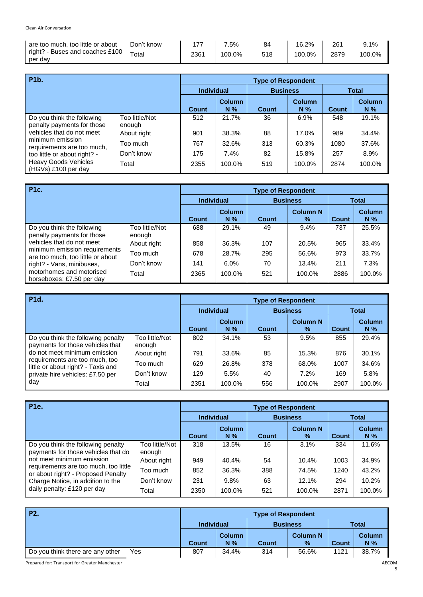| are too much, too little or about          | Don't know |      | $.5\%$ | 84  | 16.2%  | 261  | 9.1%   |
|--------------------------------------------|------------|------|--------|-----|--------|------|--------|
| right? - Buses and coaches £100<br>per day | Total      | 2361 | 100.0% | 518 | 100.0% | 2879 | 100.0% |

| P1b.                                                                                                                                 |                          | <b>Type of Respondent</b> |                        |                 |                        |              |                        |  |  |
|--------------------------------------------------------------------------------------------------------------------------------------|--------------------------|---------------------------|------------------------|-----------------|------------------------|--------------|------------------------|--|--|
|                                                                                                                                      |                          | <b>Individual</b>         |                        | <b>Business</b> |                        | <b>Total</b> |                        |  |  |
|                                                                                                                                      |                          | Count                     | <b>Column</b><br>$N\%$ | Count           | <b>Column</b><br>$N\%$ | <b>Count</b> | <b>Column</b><br>$N\%$ |  |  |
| Do you think the following<br>penalty payments for those                                                                             | Too little/Not<br>enough | 512                       | 21.7%                  | 36              | 6.9%                   | 548          | 19.1%                  |  |  |
| vehicles that do not meet                                                                                                            | About right              | 901                       | 38.3%                  | 88              | 17.0%                  | 989          | 34.4%                  |  |  |
| minimum emission<br>requirements are too much,<br>too little or about right? -<br><b>Heavy Goods Vehicles</b><br>(HGVs) £100 per day | Too much                 | 767                       | 32.6%                  | 313             | 60.3%                  | 1080         | 37.6%                  |  |  |
|                                                                                                                                      | Don't know               | 175                       | 7.4%                   | 82              | 15.8%                  | 257          | 8.9%                   |  |  |
|                                                                                                                                      | Total                    | 2355                      | 100.0%                 | 519             | 100.0%                 | 2874         | 100.0%                 |  |  |

| <b>P1c.</b>                                                                                                                                              |                          | <b>Type of Respondent</b> |                 |                 |                         |              |                        |  |  |  |
|----------------------------------------------------------------------------------------------------------------------------------------------------------|--------------------------|---------------------------|-----------------|-----------------|-------------------------|--------------|------------------------|--|--|--|
|                                                                                                                                                          |                          | <b>Individual</b>         |                 | <b>Business</b> |                         | <b>Total</b> |                        |  |  |  |
|                                                                                                                                                          |                          | <b>Count</b>              | Column<br>$N\%$ | <b>Count</b>    | <b>Column N</b><br>$\%$ | <b>Count</b> | <b>Column</b><br>$N\%$ |  |  |  |
| Do you think the following<br>penalty payments for those                                                                                                 | Too little/Not<br>enough | 688                       | 29.1%           | 49              | 9.4%                    | 737          | 25.5%                  |  |  |  |
| vehicles that do not meet                                                                                                                                | About right              | 858                       | 36.3%           | 107             | 20.5%                   | 965          | 33.4%                  |  |  |  |
| minimum emission requirements<br>are too much, too little or about<br>right? - Vans, minibuses,<br>motorhomes and motorised<br>horseboxes: £7.50 per day | Too much                 | 678                       | 28.7%           | 295             | 56.6%                   | 973          | 33.7%                  |  |  |  |
|                                                                                                                                                          | Don't know               | 141                       | 6.0%            | 70              | 13.4%                   | 211          | 7.3%                   |  |  |  |
|                                                                                                                                                          | Total                    | 2365                      | 100.0%          | 521             | 100.0%                  | 2886         | 100.0%                 |  |  |  |

| P1d.                                                                                                     |                          | <b>Type of Respondent</b> |                        |                 |                         |              |                        |  |  |
|----------------------------------------------------------------------------------------------------------|--------------------------|---------------------------|------------------------|-----------------|-------------------------|--------------|------------------------|--|--|
|                                                                                                          |                          | <b>Individual</b>         |                        | <b>Business</b> |                         | <b>Total</b> |                        |  |  |
|                                                                                                          |                          | <b>Count</b>              | <b>Column</b><br>$N\%$ | Count           | <b>Column N</b><br>$\%$ | <b>Count</b> | <b>Column</b><br>$N\%$ |  |  |
| Do you think the following penalty<br>payments for those vehicles that                                   | Too little/Not<br>enough | 802                       | 34.1%                  | 53              | 9.5%                    | 855          | 29.4%                  |  |  |
| do not meet minimum emission                                                                             | About right              | 791                       | 33.6%                  | 85              | 15.3%                   | 876          | 30.1%                  |  |  |
| requirements are too much, too<br>little or about right? - Taxis and<br>private hire vehicles: £7.50 per | Too much                 | 629                       | 26.8%                  | 378             | 68.0%                   | 1007         | 34.6%                  |  |  |
|                                                                                                          | Don't know               | 129                       | 5.5%                   | 40              | 7.2%                    | 169          | 5.8%                   |  |  |
| day                                                                                                      | Total                    | 2351                      | 100.0%                 | 556             | 100.0%                  | 2907         | 100.0%                 |  |  |

| P <sub>1e</sub> .                                                                                                |                          | <b>Type of Respondent</b> |                        |       |                                  |              |                        |  |  |
|------------------------------------------------------------------------------------------------------------------|--------------------------|---------------------------|------------------------|-------|----------------------------------|--------------|------------------------|--|--|
|                                                                                                                  |                          | <b>Individual</b>         |                        |       | <b>Business</b>                  | <b>Total</b> |                        |  |  |
|                                                                                                                  |                          | <b>Count</b>              | <b>Column</b><br>$N\%$ | Count | <b>Column N</b><br>$\frac{9}{6}$ | <b>Count</b> | <b>Column</b><br>$N\%$ |  |  |
| Do you think the following penalty<br>payments for those vehicles that do                                        | Too little/Not<br>enough | 318                       | 13.5%                  | 16    | 3.1%                             | 334          | 11.6%                  |  |  |
| not meet minimum emission                                                                                        | About right              | 949                       | 40.4%                  | 54    | 10.4%                            | 1003         | 34.9%                  |  |  |
| requirements are too much, too little<br>or about right? - Proposed Penalty<br>Charge Notice, in addition to the | Too much                 | 852                       | 36.3%                  | 388   | 74.5%                            | 1240         | 43.2%                  |  |  |
|                                                                                                                  | Don't know               | 231                       | 9.8%                   | 63    | 12.1%                            | 294          | 10.2%                  |  |  |
| daily penalty: £120 per day                                                                                      | Total                    | 2350                      | 100.0%                 | 521   | 100.0%                           | 2871         | 100.0%                 |  |  |

| <b>P2.</b>                              | <b>Type of Respondent</b> |               |       |                 |              |               |  |  |
|-----------------------------------------|---------------------------|---------------|-------|-----------------|--------------|---------------|--|--|
|                                         | <b>Individual</b>         |               |       | <b>Business</b> | <b>Total</b> |               |  |  |
|                                         |                           | <b>Column</b> |       | <b>Column N</b> |              | <b>Column</b> |  |  |
|                                         | <b>Count</b>              | N%            | Count | $\frac{9}{6}$   | <b>Count</b> | $N\%$         |  |  |
| Yes<br>Do you think there are any other | 807                       | 34.4%         | 314   | 56.6%           | 1121         | 38.7%         |  |  |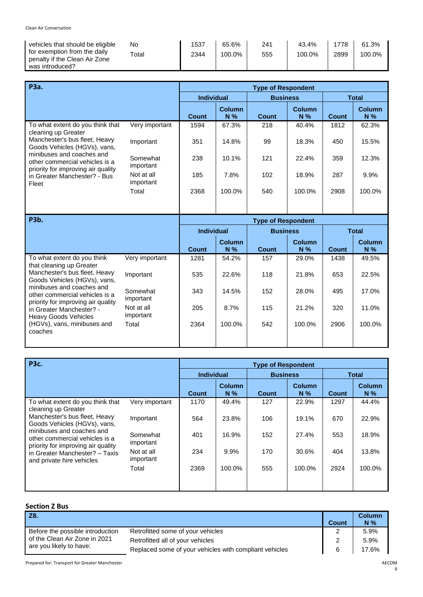| <b>P3a.</b>                                                                                                                                                                                                                                                            |                         |                   |                        | <b>Type of Respondent</b> |                        |              |                        |
|------------------------------------------------------------------------------------------------------------------------------------------------------------------------------------------------------------------------------------------------------------------------|-------------------------|-------------------|------------------------|---------------------------|------------------------|--------------|------------------------|
|                                                                                                                                                                                                                                                                        |                         | <b>Individual</b> |                        | <b>Business</b>           |                        | <b>Total</b> |                        |
|                                                                                                                                                                                                                                                                        |                         | <b>Count</b>      | <b>Column</b><br>$N\%$ | Count                     | <b>Column</b><br>$N\%$ | Count        | <b>Column</b><br>$N\%$ |
| To what extent do you think that<br>cleaning up Greater<br>Manchester's bus fleet, Heavy<br>Goods Vehicles (HGVs), vans,<br>minibuses and coaches and<br>other commercial vehicles is a<br>priority for improving air quality<br>in Greater Manchester? - Bus<br>Fleet | Very important          | 1594              | 67.3%                  | 218                       | 40.4%                  | 1812         | 62.3%                  |
|                                                                                                                                                                                                                                                                        | Important               | 351               | 14.8%                  | 99                        | 18.3%                  | 450          | 15.5%                  |
|                                                                                                                                                                                                                                                                        | Somewhat<br>important   | 238               | 10.1%                  | 121                       | 22.4%                  | 359          | 12.3%                  |
|                                                                                                                                                                                                                                                                        | Not at all<br>important | 185               | 7.8%                   | 102                       | 18.9%                  | 287          | 9.9%                   |
|                                                                                                                                                                                                                                                                        | Total                   | 2368              | 100.0%                 | 540                       | 100.0%                 | 2908         | 100.0%                 |
|                                                                                                                                                                                                                                                                        |                         |                   |                        |                           |                        |              |                        |

| <b>P3b.</b>                                                                                                                                                                                                                                                                              | <b>Type of Respondent</b> |                   |                        |                 |                        |       |                 |  |  |
|------------------------------------------------------------------------------------------------------------------------------------------------------------------------------------------------------------------------------------------------------------------------------------------|---------------------------|-------------------|------------------------|-----------------|------------------------|-------|-----------------|--|--|
|                                                                                                                                                                                                                                                                                          |                           | <b>Individual</b> |                        | <b>Business</b> |                        |       | <b>Total</b>    |  |  |
|                                                                                                                                                                                                                                                                                          |                           | <b>Count</b>      | <b>Column</b><br>$N\%$ | <b>Count</b>    | <b>Column</b><br>$N\%$ | Count | Column<br>$N\%$ |  |  |
| To what extent do you think<br>that cleaning up Greater<br>Manchester's bus fleet, Heavy<br>Goods Vehicles (HGVs), vans,<br>minibuses and coaches and<br>other commercial vehicles is a<br>priority for improving air quality<br>in Greater Manchester? -<br><b>Heavy Goods Vehicles</b> | Very important            | 1281              | 54.2%                  | 157             | 29.0%                  | 1438  | 49.5%           |  |  |
|                                                                                                                                                                                                                                                                                          | Important                 | 535               | 22.6%                  | 118             | 21.8%                  | 653   | 22.5%           |  |  |
|                                                                                                                                                                                                                                                                                          | Somewhat<br>important     | 343               | 14.5%                  | 152             | 28.0%                  | 495   | 17.0%           |  |  |
|                                                                                                                                                                                                                                                                                          | Not at all<br>important   | 205               | 8.7%                   | 115             | 21.2%                  | 320   | 11.0%           |  |  |
| (HGVs), vans, minibuses and<br>coaches                                                                                                                                                                                                                                                   | Total                     | 2364              | 100.0%                 | 542             | 100.0%                 | 2906  | 100.0%          |  |  |

| <b>P3c.</b>                                                                                       |                         | <b>Type of Respondent</b> |                        |              |                        |              |                        |  |
|---------------------------------------------------------------------------------------------------|-------------------------|---------------------------|------------------------|--------------|------------------------|--------------|------------------------|--|
|                                                                                                   |                         | <b>Individual</b>         | <b>Business</b>        |              |                        |              | <b>Total</b>           |  |
|                                                                                                   |                         | <b>Count</b>              | <b>Column</b><br>$N\%$ | <b>Count</b> | <b>Column</b><br>$N\%$ | <b>Count</b> | <b>Column</b><br>$N\%$ |  |
| To what extent do you think that<br>cleaning up Greater                                           | Very important          | 1170                      | 49.4%                  | 127          | 22.9%                  | 1297         | 44.4%                  |  |
| Manchester's bus fleet, Heavy<br>Goods Vehicles (HGVs), vans,                                     | Important               | 564                       | 23.8%                  | 106          | 19.1%                  | 670          | 22.9%                  |  |
| minibuses and coaches and<br>other commercial vehicles is a<br>priority for improving air quality | Somewhat<br>important   | 401                       | 16.9%                  | 152          | 27.4%                  | 553          | 18.9%                  |  |
| in Greater Manchester? - Taxis<br>and private hire vehicles                                       | Not at all<br>important | 234                       | 9.9%                   | 170          | 30.6%                  | 404          | 13.8%                  |  |
|                                                                                                   | Total                   | 2369                      | 100.0%                 | 555          | 100.0%                 | 2924         | 100.0%                 |  |
|                                                                                                   |                         |                           |                        |              |                        |              |                        |  |

| <b>Section Z Bus</b> |  |
|----------------------|--|
|----------------------|--|

| <b>Z8.</b>                                               |                                                        | Count | <b>Column</b><br>N% |
|----------------------------------------------------------|--------------------------------------------------------|-------|---------------------|
| Before the possible introduction                         | Retrofitted some of your vehicles                      |       | 5.9%                |
| of the Clean Air Zone in 2021<br>are you likely to have: | Retrofitted all of your vehicles                       | 2     | 5.9%                |
|                                                          | Replaced some of your vehicles with compliant vehicles | 6     | 17.6%               |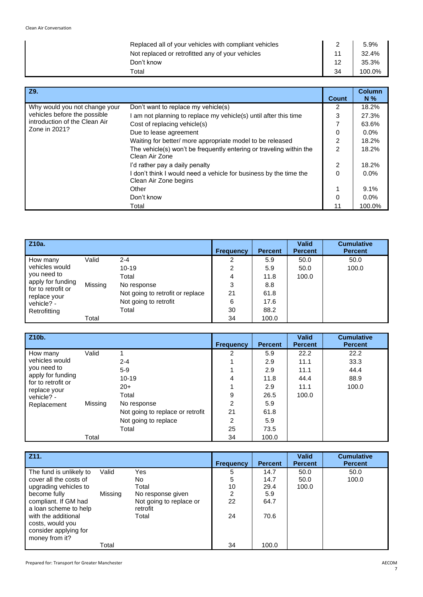| Replaced all of your vehicles with compliant vehicles |    | 5.9%   |
|-------------------------------------------------------|----|--------|
| Not replaced or retrofitted any of your vehicles      |    | 32.4%  |
| Don't know                                            | 12 | 35.3%  |
| Total                                                 | 34 | 100.0% |

| Z9.                           |                                                                                          | Count          | <b>Column</b><br>$N\%$ |
|-------------------------------|------------------------------------------------------------------------------------------|----------------|------------------------|
| Why would you not change your | Don't want to replace my vehicle(s)                                                      |                | 18.2%                  |
| vehicles before the possible  | am not planning to replace my vehicle(s) until after this time                           | 3              | 27.3%                  |
| introduction of the Clean Air | Cost of replacing vehicle(s)                                                             | 7              | 63.6%                  |
| Zone in 2021?                 | Due to lease agreement                                                                   | 0              | $0.0\%$                |
|                               | Waiting for better/ more appropriate model to be released                                | $\overline{2}$ | 18.2%                  |
|                               | The vehicle(s) won't be frequently entering or traveling within the<br>Clean Air Zone    | $\overline{2}$ | 18.2%                  |
|                               | I'd rather pay a daily penalty                                                           | $\overline{2}$ | 18.2%                  |
|                               | don't think I would need a vehicle for business by the time the<br>Clean Air Zone begins | 0              | $0.0\%$                |
|                               | Other                                                                                    | 1              | 9.1%                   |
|                               | Don't know                                                                               | 0              | $0.0\%$                |
|                               | Total                                                                                    | 11             | 100.0%                 |

| Z <sub>10a</sub> .                                      |         |                                  | <b>Frequency</b> | <b>Percent</b> | <b>Valid</b><br><b>Percent</b> | <b>Cumulative</b><br><b>Percent</b> |
|---------------------------------------------------------|---------|----------------------------------|------------------|----------------|--------------------------------|-------------------------------------|
| How many                                                | Valid   | $2 - 4$                          | 2                | 5.9            | 50.0                           | 50.0                                |
| vehicles would                                          |         | $10 - 19$                        | 2                | 5.9            | 50.0                           | 100.0                               |
| you need to                                             |         | Total                            | 4                | 11.8           | 100.0                          |                                     |
| apply for funding<br>for to retrofit or<br>replace your | Missing | No response                      | 3                | 8.8            |                                |                                     |
|                                                         |         | Not going to retrofit or replace | 21               | 61.8           |                                |                                     |
| vehicle? -                                              |         | Not going to retrofit            | 6                | 17.6           |                                |                                     |
| Retrofitting                                            |         | Total                            | 30               | 88.2           |                                |                                     |
|                                                         | Total   |                                  | 34               | 100.0          |                                |                                     |

| Z10b.                                     |         |                                  | <b>Frequency</b> | <b>Percent</b> | <b>Valid</b><br><b>Percent</b> | <b>Cumulative</b><br><b>Percent</b> |
|-------------------------------------------|---------|----------------------------------|------------------|----------------|--------------------------------|-------------------------------------|
| How many                                  | Valid   |                                  | 2                | 5.9            | 22.2                           | 22.2                                |
| vehicles would                            |         | $2 - 4$                          | 4                | 2.9            | 11.1                           | 33.3                                |
| you need to                               |         | $5-9$                            |                  | 2.9            | 11.1                           | 44.4                                |
| apply for funding                         |         | $10 - 19$                        | 4                | 11.8           | 44.4                           | 88.9                                |
| for to retrofit or                        |         | $20+$                            |                  | 2.9            | 11.1                           | 100.0                               |
| replace your<br>vehicle? -<br>Replacement |         | Total                            | 9                | 26.5           | 100.0                          |                                     |
|                                           | Missing | No response                      | $\overline{2}$   | 5.9            |                                |                                     |
|                                           |         | Not going to replace or retrofit | 21               | 61.8           |                                |                                     |
|                                           |         | Not going to replace             | 2                | 5.9            |                                |                                     |
|                                           |         | Total                            | 25               | 73.5           |                                |                                     |
|                                           | Total   |                                  | 34               | 100.0          |                                |                                     |

| Z11.                                                                               |         |                                     | <b>Frequency</b> | <b>Percent</b> | <b>Valid</b><br><b>Percent</b> | <b>Cumulative</b><br><b>Percent</b> |
|------------------------------------------------------------------------------------|---------|-------------------------------------|------------------|----------------|--------------------------------|-------------------------------------|
| The fund is unlikely to                                                            | Valid   | Yes                                 | 5                | 14.7           | 50.0                           | 50.0                                |
| cover all the costs of                                                             |         | No.                                 | 5                | 14.7           | 50.0                           | 100.0                               |
| upgrading vehicles to                                                              |         | Total                               | 10               | 29.4           | 100.0                          |                                     |
| become fully                                                                       | Missing | No response given                   | 2                | 5.9            |                                |                                     |
| compliant. If GM had<br>a loan scheme to help                                      |         | Not going to replace or<br>retrofit | 22               | 64.7           |                                |                                     |
| with the additional<br>costs, would you<br>consider applying for<br>money from it? |         | Total                               | 24               | 70.6           |                                |                                     |
|                                                                                    | Total   |                                     | 34               | 100.0          |                                |                                     |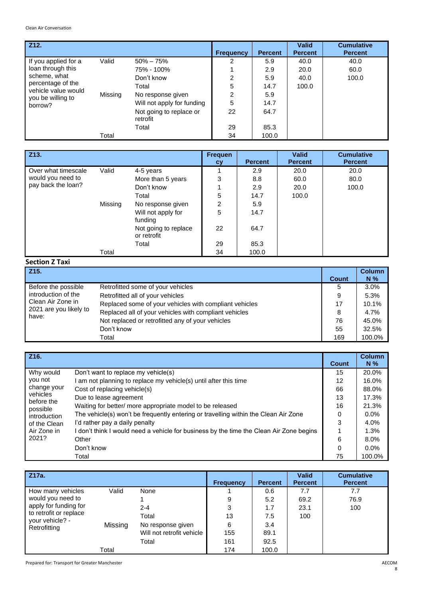| Z12.                                                |         |                                     | <b>Frequency</b> | <b>Percent</b> | <b>Valid</b><br><b>Percent</b> | <b>Cumulative</b><br><b>Percent</b> |
|-----------------------------------------------------|---------|-------------------------------------|------------------|----------------|--------------------------------|-------------------------------------|
| If you applied for a                                | Valid   | $50\% - 75\%$                       | 2                | 5.9            | 40.0                           | 40.0                                |
| loan through this<br>scheme, what                   |         | 75% - 100%                          |                  | 2.9            | 20.0                           | 60.0                                |
|                                                     |         | Don't know                          | 2                | 5.9            | 40.0                           | 100.0                               |
| percentage of the                                   |         | Total                               | 5                | 14.7           | 100.0                          |                                     |
| vehicle value would<br>you be willing to<br>borrow? | Missing | No response given                   | $\overline{2}$   | 5.9            |                                |                                     |
|                                                     |         | Will not apply for funding          | 5                | 14.7           |                                |                                     |
|                                                     |         | Not going to replace or<br>retrofit | 22               | 64.7           |                                |                                     |
|                                                     |         | Total                               | 29               | 85.3           |                                |                                     |
|                                                     | Total   |                                     | 34               | 100.0          |                                |                                     |

| Z13.                                                           |         |                                     | <b>Frequen</b><br><b>CV</b> | <b>Percent</b> | <b>Valid</b><br><b>Percent</b> | <b>Cumulative</b><br><b>Percent</b> |
|----------------------------------------------------------------|---------|-------------------------------------|-----------------------------|----------------|--------------------------------|-------------------------------------|
| Over what timescale<br>would you need to<br>pay back the loan? | Valid   | 4-5 years                           |                             | 2.9            | 20.0                           | 20.0                                |
|                                                                |         | More than 5 years                   | 3                           | 8.8            | 60.0                           | 80.0                                |
|                                                                |         | Don't know                          |                             | 2.9            | 20.0                           | 100.0                               |
|                                                                |         | Total                               | 5                           | 14.7           | 100.0                          |                                     |
|                                                                | Missing | No response given                   | 2                           | 5.9            |                                |                                     |
|                                                                |         | Will not apply for<br>funding       | 5                           | 14.7           |                                |                                     |
|                                                                |         | Not going to replace<br>or retrofit | 22                          | 64.7           |                                |                                     |
|                                                                |         | Total                               | 29                          | 85.3           |                                |                                     |
|                                                                | Total   |                                     | 34                          | 100.0          |                                |                                     |

# **Section Z Taxi**

| Z <sub>15</sub> .               |                                                        | <b>Count</b> | <b>Column</b><br>$N\%$ |
|---------------------------------|--------------------------------------------------------|--------------|------------------------|
| Before the possible             | Retrofitted some of your vehicles                      | 5            | 3.0%                   |
| introduction of the             | Retrofitted all of your vehicles                       | 9            | 5.3%                   |
| Clean Air Zone in               | Replaced some of your vehicles with compliant vehicles | 17           | 10.1%                  |
| 2021 are you likely to<br>have: | Replaced all of your vehicles with compliant vehicles  | 8            | 4.7%                   |
|                                 | Not replaced or retrofitted any of your vehicles       | 76           | 45.0%                  |
|                                 | Don't know                                             | 55           | 32.5%                  |
|                                 | Total                                                  | 169          | 100.0%                 |

| Z16.                   |                                                                                         | Count    | <b>Column</b><br>$N\%$ |
|------------------------|-----------------------------------------------------------------------------------------|----------|------------------------|
| Why would              | Don't want to replace my vehicle(s)                                                     | 15       | 20.0%                  |
| you not                | am not planning to replace my vehicle(s) until after this time                          | 12       | 16.0%                  |
| change your            | Cost of replacing vehicle(s)                                                            | 66       | 88.0%                  |
| vehicles<br>before the | Due to lease agreement                                                                  | 13       | 17.3%                  |
| possible               | Waiting for better/ more appropriate model to be released                               | 16       | 21.3%                  |
| introduction           | The vehicle(s) won't be frequently entering or travelling within the Clean Air Zone     | 0        | $0.0\%$                |
| of the Clean           | I'd rather pay a daily penalty                                                          | 3        | 4.0%                   |
| Air Zone in<br>2021?   | I don't think I would need a vehicle for business by the time the Clean Air Zone begins |          | 1.3%                   |
|                        | Other                                                                                   | 6        | 8.0%                   |
|                        | Don't know                                                                              | $\Omega$ | $0.0\%$                |
|                        | Total                                                                                   | 75       | 100.0%                 |

| Z17a.                                      |         |                           | <b>Frequency</b> | <b>Percent</b> | <b>Valid</b><br><b>Percent</b> | <b>Cumulative</b><br><b>Percent</b> |
|--------------------------------------------|---------|---------------------------|------------------|----------------|--------------------------------|-------------------------------------|
| How many vehicles                          | Valid   | None                      |                  | 0.6            | 7.7                            | 7.7                                 |
| would you need to<br>apply for funding for |         |                           | 9                | 5.2            | 69.2                           | 76.9                                |
|                                            |         | $2 - 4$                   | 3                | 1.7            | 23.1                           | 100                                 |
| to retrofit or replace                     |         | Total                     | 13               | 7.5            | 100                            |                                     |
| your vehicle? -<br>Retrofitting            | Missing | No response given         | 6                | 3.4            |                                |                                     |
|                                            |         | Will not retrofit vehicle | 155              | 89.1           |                                |                                     |
|                                            |         | Total                     | 161              | 92.5           |                                |                                     |
|                                            | Total   |                           | 174              | 100.0          |                                |                                     |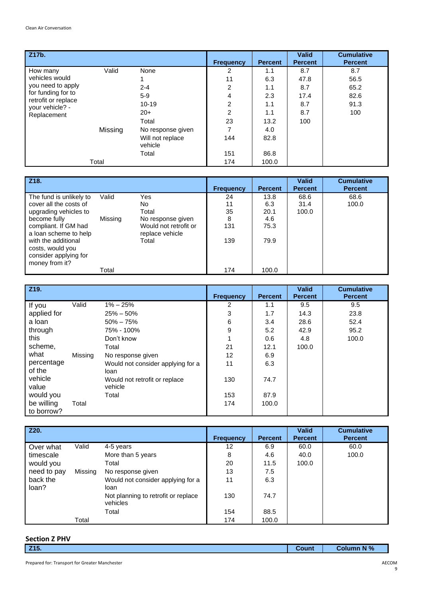| Z17b.                                                        |         |                             | <b>Frequency</b> | <b>Percent</b> | <b>Valid</b><br><b>Percent</b> | <b>Cumulative</b><br><b>Percent</b> |
|--------------------------------------------------------------|---------|-----------------------------|------------------|----------------|--------------------------------|-------------------------------------|
| How many                                                     | Valid   | None                        | 2                | 1.1            | 8.7                            | 8.7                                 |
| vehicles would                                               |         |                             | 11               | 6.3            | 47.8                           | 56.5                                |
| you need to apply                                            |         | $2 - 4$                     | $\overline{2}$   | 1.1            | 8.7                            | 65.2                                |
| for funding for to<br>retrofit or replace<br>your vehicle? - |         | $5-9$                       | 4                | 2.3            | 17.4                           | 82.6                                |
|                                                              |         | $10 - 19$                   | $\overline{2}$   | 1.1            | 8.7                            | 91.3                                |
| Replacement                                                  |         | $20+$                       | $\overline{c}$   | 1.1            | 8.7                            | 100                                 |
|                                                              |         | Total                       | 23               | 13.2           | 100                            |                                     |
|                                                              | Missing | No response given           | 7                | 4.0            |                                |                                     |
|                                                              |         | Will not replace<br>vehicle | 144              | 82.8           |                                |                                     |
|                                                              |         | Total                       | 151              | 86.8           |                                |                                     |
|                                                              | Total   |                             | 174              | 100.0          |                                |                                     |

| Z <sub>18</sub> .                                 |         |                                          | <b>Frequency</b> | <b>Percent</b> | <b>Valid</b><br><b>Percent</b> | <b>Cumulative</b><br><b>Percent</b> |
|---------------------------------------------------|---------|------------------------------------------|------------------|----------------|--------------------------------|-------------------------------------|
| The fund is unlikely to<br>cover all the costs of | Valid   | Yes                                      | 24               | 13.8           | 68.6                           | 68.6                                |
| upgrading vehicles to                             |         | No.<br>Total                             | 11<br>35         | 6.3<br>20.1    | 31.4<br>100.0                  | 100.0                               |
| become fully                                      | Missing | No response given                        | 8                | 4.6            |                                |                                     |
| compliant. If GM had<br>a loan scheme to help     |         | Would not retrofit or<br>replace vehicle | 131              | 75.3           |                                |                                     |
| with the additional<br>costs, would you           |         | Total                                    | 139              | 79.9           |                                |                                     |
| consider applying for<br>money from it?           |         |                                          |                  |                |                                |                                     |
|                                                   | Total   |                                          | 174              | 100.0          |                                |                                     |

| Z19.        |         |                                   | <b>Frequency</b> | <b>Percent</b> | <b>Valid</b><br><b>Percent</b> | <b>Cumulative</b><br><b>Percent</b> |
|-------------|---------|-----------------------------------|------------------|----------------|--------------------------------|-------------------------------------|
| If you      | Valid   | $1\% - 25\%$                      | 2                | 1.1            | 9.5                            | 9.5                                 |
| applied for |         | $25\% - 50\%$                     | 3                | 1.7            | 14.3                           | 23.8                                |
| a loan      |         | $50\% - 75\%$                     | 6                | 3.4            | 28.6                           | 52.4                                |
| through     |         | 75% - 100%                        | 9                | 5.2            | 42.9                           | 95.2                                |
| this        |         | Don't know                        |                  | 0.6            | 4.8                            | 100.0                               |
| scheme,     |         | Total                             | 21               | 12.1           | 100.0                          |                                     |
| what        | Missing | No response given                 | 12               | 6.9            |                                |                                     |
| percentage  |         | Would not consider applying for a | 11               | 6.3            |                                |                                     |
| of the      |         | loan                              |                  |                |                                |                                     |
| vehicle     |         | Would not retrofit or replace     | 130              | 74.7           |                                |                                     |
| value       |         | vehicle                           |                  |                |                                |                                     |
| would you   |         | Total                             | 153              | 87.9           |                                |                                     |
| be willing  | Total   |                                   | 174              | 100.0          |                                |                                     |
| to borrow?  |         |                                   |                  |                |                                |                                     |

| Z20.              |         |                                                 | <b>Frequency</b> | <b>Percent</b> | <b>Valid</b><br><b>Percent</b> | <b>Cumulative</b><br><b>Percent</b> |
|-------------------|---------|-------------------------------------------------|------------------|----------------|--------------------------------|-------------------------------------|
| Over what         | Valid   | 4-5 years                                       | 12               | 6.9            | 60.0                           | 60.0                                |
| timescale         |         | More than 5 years                               | 8                | 4.6            | 40.0                           | 100.0                               |
| would you         |         | Total                                           | 20               | 11.5           | 100.0                          |                                     |
| need to pay       | Missing | No response given                               | 13               | 7.5            |                                |                                     |
| back the<br>loan? |         | Would not consider applying for a<br>loan       | 11               | 6.3            |                                |                                     |
|                   |         | Not planning to retrofit or replace<br>vehicles | 130              | 74.7           |                                |                                     |
|                   |         | Total                                           | 154              | 88.5           |                                |                                     |
|                   | Total   |                                                 | 174              | 100.0          |                                |                                     |

| <b>Section Z PHV</b> |       |                   |
|----------------------|-------|-------------------|
| $\vert$ Z15.         | Count | <b>Column N %</b> |
|                      |       |                   |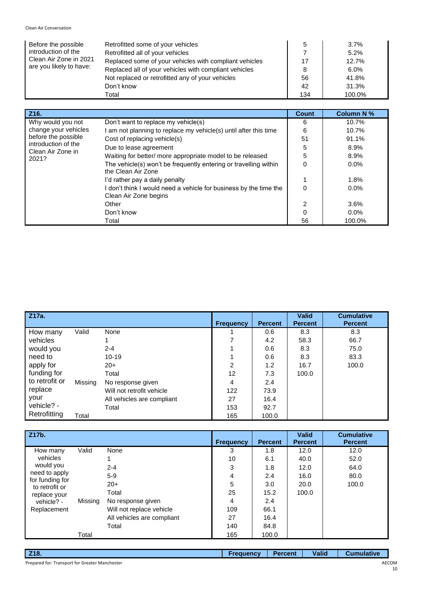| Before the possible<br>introduction of the<br>Clean Air Zone in 2021<br>are you likely to have: | Retrofitted some of your vehicles                      | 5   | $3.7\%$ |
|-------------------------------------------------------------------------------------------------|--------------------------------------------------------|-----|---------|
|                                                                                                 | Retrofitted all of your vehicles                       |     | 5.2%    |
|                                                                                                 | Replaced some of your vehicles with compliant vehicles | 17  | 12.7%   |
|                                                                                                 | Replaced all of your vehicles with compliant vehicles  | 8   | $6.0\%$ |
|                                                                                                 | Not replaced or retrofitted any of your vehicles       | 56  | 41.8%   |
|                                                                                                 | Don't know                                             | 42  | 31.3%   |
|                                                                                                 | Total                                                  | 134 | 100.0%  |

| Z <sub>16</sub> .                        |                                                                                          | <b>Count</b>   | <b>Column N %</b> |
|------------------------------------------|------------------------------------------------------------------------------------------|----------------|-------------------|
| Why would you not                        | Don't want to replace my vehicle(s)                                                      |                | 10.7%             |
| change your vehicles                     | am not planning to replace my vehicle(s) until after this time                           | 6              | 10.7%             |
| before the possible                      | Cost of replacing vehicle(s)                                                             | 51             | 91.1%             |
| introduction of the<br>Clean Air Zone in | Due to lease agreement                                                                   | 5              | 8.9%              |
| 2021?                                    | Waiting for better/ more appropriate model to be released                                | 5              | 8.9%              |
|                                          | The vehicle(s) won't be frequently entering or travelling within<br>the Clean Air Zone   | 0              | $0.0\%$           |
|                                          | I'd rather pay a daily penalty                                                           |                | 1.8%              |
|                                          | don't think I would need a vehicle for business by the time the<br>Clean Air Zone begins | 0              | 0.0%              |
|                                          | Other                                                                                    | $\overline{2}$ | 3.6%              |
|                                          | Don't know                                                                               | 0              | $0.0\%$           |
|                                          | Total                                                                                    | 56             | 100.0%            |

| Z17a.          |         |                            | <b>Frequency</b> | <b>Percent</b> | <b>Valid</b><br><b>Percent</b> | <b>Cumulative</b><br><b>Percent</b> |
|----------------|---------|----------------------------|------------------|----------------|--------------------------------|-------------------------------------|
| How many       | Valid   | None                       |                  | 0.6            | 8.3                            | 8.3                                 |
| vehicles       |         |                            |                  | 4.2            | 58.3                           | 66.7                                |
| would you      |         | $2 - 4$                    |                  | 0.6            | 8.3                            | 75.0                                |
| need to        |         | $10 - 19$                  |                  | 0.6            | 8.3                            | 83.3                                |
| apply for      |         | $20+$                      | 2                | 1.2            | 16.7                           | 100.0                               |
| funding for    |         | Total                      | 12               | 7.3            | 100.0                          |                                     |
| to retrofit or | Missing | No response given          | 4                | 2.4            |                                |                                     |
| replace        |         | Will not retrofit vehicle  | 122              | 73.9           |                                |                                     |
| your           |         | All vehicles are compliant | 27               | 16.4           |                                |                                     |
| vehicle? -     |         | Total                      | 153              | 92.7           |                                |                                     |
| Retrofitting   | Total   |                            | 165              | 100.0          |                                |                                     |

| Z17b.                             |         |                            | <b>Frequency</b> | <b>Percent</b> | <b>Valid</b><br><b>Percent</b> | <b>Cumulative</b><br><b>Percent</b> |
|-----------------------------------|---------|----------------------------|------------------|----------------|--------------------------------|-------------------------------------|
| How many                          | Valid   | None                       | 3                | 1.8            | 12.0                           | 12.0                                |
| vehicles                          |         |                            | 10               | 6.1            | 40.0                           | 52.0                                |
| would you                         |         | $2 - 4$                    | 3                | 1.8            | 12.0                           | 64.0                                |
| need to apply                     |         | $5-9$                      | 4                | 2.4            | 16.0                           | 80.0                                |
| for funding for<br>to retrofit or |         | $20+$                      | 5                | 3.0            | 20.0                           | 100.0                               |
| replace your                      |         | Total                      | 25               | 15.2           | 100.0                          |                                     |
| vehicle? -                        | Missing | No response given          | 4                | 2.4            |                                |                                     |
| Replacement                       |         | Will not replace vehicle   | 109              | 66.1           |                                |                                     |
|                                   |         | All vehicles are compliant | 27               | 16.4           |                                |                                     |
|                                   |         | Total                      | 140              | 84.8           |                                |                                     |
|                                   | Total   |                            | 165              | 100.0          |                                |                                     |

| $\overline{218}$ .                             | <b>Frequency</b> | <b>Percent</b> | <b>Valid</b> | <b>Cumulative</b> |
|------------------------------------------------|------------------|----------------|--------------|-------------------|
| Prepared for: Transport for Greater Manchester |                  |                |              | AECC              |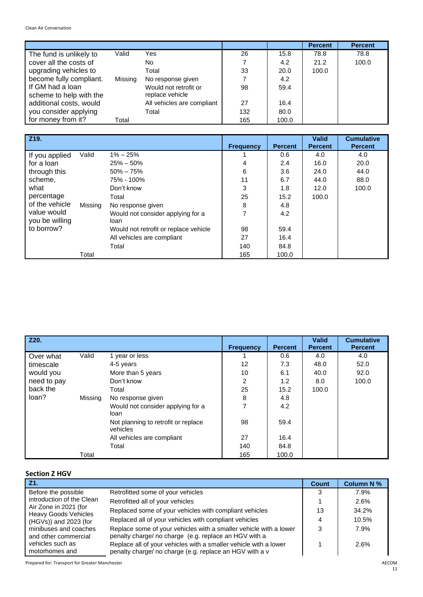|                                             |         |                                          |     |       | <b>Percent</b> | <b>Percent</b> |
|---------------------------------------------|---------|------------------------------------------|-----|-------|----------------|----------------|
| The fund is unlikely to                     | Valid   | Yes                                      | 26  | 15.8  | 78.8           | 78.8           |
| cover all the costs of                      |         | No.                                      |     | 4.2   | 21.2           | 100.0          |
| upgrading vehicles to                       |         | Total                                    | 33  | 20.0  | 100.0          |                |
| become fully compliant.                     | Missing | No response given                        |     | 4.2   |                |                |
| If GM had a loan<br>scheme to help with the |         | Would not retrofit or<br>replace vehicle | 98  | 59.4  |                |                |
| additional costs, would                     |         | All vehicles are compliant               | 27  | 16.4  |                |                |
| you consider applying                       |         | Total                                    | 132 | 80.0  |                |                |
| for money from it?                          | Total   |                                          | 165 | 100.0 |                |                |

| Z19.                          |         |                                           | <b>Frequency</b> | <b>Percent</b> | <b>Valid</b><br><b>Percent</b> | <b>Cumulative</b><br><b>Percent</b> |
|-------------------------------|---------|-------------------------------------------|------------------|----------------|--------------------------------|-------------------------------------|
| If you applied                | Valid   | $1\% - 25\%$                              |                  | 0.6            | 4.0                            | 4.0                                 |
| for a loan                    |         | $25\% - 50\%$                             | 4                | 2.4            | 16.0                           | 20.0                                |
| through this                  |         | $50\% - 75\%$                             | 6                | 3.6            | 24.0                           | 44.0                                |
| scheme,                       |         | 75% - 100%                                | 11               | 6.7            | 44.0                           | 88.0                                |
| what                          |         | Don't know                                | 3                | 1.8            | 12.0                           | 100.0                               |
| percentage                    |         | Total                                     | 25               | 15.2           | 100.0                          |                                     |
| of the vehicle                | Missing | No response given                         | 8                | 4.8            |                                |                                     |
| value would<br>you be willing |         | Would not consider applying for a<br>loan |                  | 4.2            |                                |                                     |
| to borrow?                    |         | Would not retrofit or replace vehicle     | 98               | 59.4           |                                |                                     |
|                               |         | All vehicles are compliant                | 27               | 16.4           |                                |                                     |
|                               |         | Total                                     | 140              | 84.8           |                                |                                     |
|                               | Total   |                                           | 165              | 100.0          |                                |                                     |

| Z20.        |         |                                                 | <b>Frequency</b> | <b>Percent</b> | <b>Valid</b><br><b>Percent</b> | <b>Cumulative</b><br><b>Percent</b> |
|-------------|---------|-------------------------------------------------|------------------|----------------|--------------------------------|-------------------------------------|
| Over what   | Valid   | 1 year or less                                  |                  | 0.6            | 4.0                            | 4.0                                 |
| timescale   |         | 4-5 years                                       | 12               | 7.3            | 48.0                           | 52.0                                |
| would you   |         | More than 5 years                               | 10               | 6.1            | 40.0                           | 92.0                                |
| need to pay |         | Don't know                                      | 2                | 1.2            | 8.0                            | 100.0                               |
| back the    |         | Total                                           | 25               | 15.2           | 100.0                          |                                     |
| loan?       | Missing | No response given                               | 8                | 4.8            |                                |                                     |
|             |         | Would not consider applying for a<br>loan       |                  | 4.2            |                                |                                     |
|             |         | Not planning to retrofit or replace<br>vehicles | 98               | 59.4           |                                |                                     |
|             |         | All vehicles are compliant                      | 27               | 16.4           |                                |                                     |
|             |         | Total                                           | 140              | 84.8           |                                |                                     |
|             | Total   |                                                 | 165              | 100.0          |                                |                                     |

# **Section Z HGV**

| JELLIUII 4 NUV                                       |                                                                                                                             |       |                   |
|------------------------------------------------------|-----------------------------------------------------------------------------------------------------------------------------|-------|-------------------|
| Z1.                                                  |                                                                                                                             | Count | <b>Column N %</b> |
| Before the possible                                  | Retrofitted some of your vehicles                                                                                           | 3     | 7.9%              |
| introduction of the Clean                            | Retrofitted all of your vehicles                                                                                            |       | 2.6%              |
| Air Zone in 2021 (for<br><b>Heavy Goods Vehicles</b> | Replaced some of your vehicles with compliant vehicles                                                                      | 13    | 34.2%             |
| (HGVs)) and 2023 (for                                | Replaced all of your vehicles with compliant vehicles                                                                       | 4     | 10.5%             |
| minibuses and coaches<br>and other commercial        | Replace some of your vehicles with a smaller vehicle with a lower<br>penalty charge/ no charge (e.g. replace an HGV with a  | 3     | 7.9%              |
| vehicles such as<br>motorhomes and                   | Replace all of your vehicles with a smaller vehicle with a lower<br>penalty charge/ no charge (e.g. replace an HGV with a v |       | 2.6%              |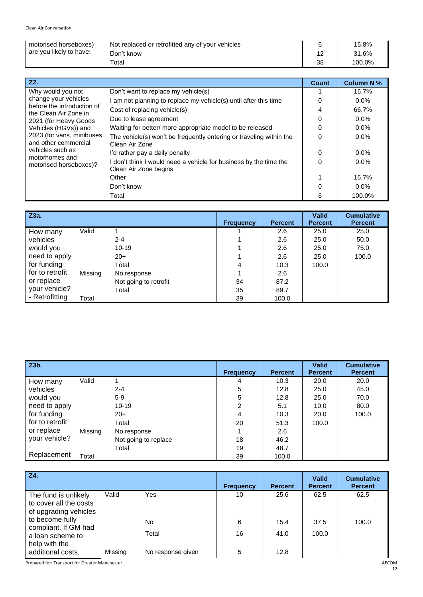| motorised horseboxes)   | Not replaced or retrofitted any of your vehicles |    | 15.8%  |
|-------------------------|--------------------------------------------------|----|--------|
| are you likely to have: | Don't know                                       |    | 31.6%  |
|                         | Total                                            | 38 | 100.0% |

| Z2.                                                 |                                                                                          | Count    | <b>Column N %</b> |
|-----------------------------------------------------|------------------------------------------------------------------------------------------|----------|-------------------|
| Why would you not<br>change your vehicles           | Don't want to replace my vehicle(s)                                                      |          | 16.7%             |
|                                                     | am not planning to replace my vehicle(s) until after this time                           | $\Omega$ | 0.0%              |
| before the introduction of<br>the Clean Air Zone in | Cost of replacing vehicle(s)                                                             | 4        | 66.7%             |
| 2021 (for Heavy Goods                               | Due to lease agreement                                                                   | 0        | $0.0\%$           |
| Vehicles (HGVs)) and                                | Waiting for better/ more appropriate model to be released                                | $\Omega$ | $0.0\%$           |
| 2023 (for vans, minibuses<br>and other commercial   | The vehicle(s) won't be frequently entering or traveling within the<br>Clean Air Zone    | $\Omega$ | 0.0%              |
| vehicles such as                                    | I'd rather pay a daily penalty                                                           | $\Omega$ | $0.0\%$           |
| motorhomes and<br>motorised horseboxes)?            | don't think I would need a vehicle for business by the time the<br>Clean Air Zone begins | $\Omega$ | $0.0\%$           |
|                                                     | Other                                                                                    | 1        | 16.7%             |
|                                                     | Don't know                                                                               | $\Omega$ | $0.0\%$           |
|                                                     | Total                                                                                    | 6        | 100.0%            |

| <b>Z3a.</b>     |         |                       | <b>Frequency</b> | <b>Percent</b> | <b>Valid</b><br><b>Percent</b> | <b>Cumulative</b><br><b>Percent</b> |
|-----------------|---------|-----------------------|------------------|----------------|--------------------------------|-------------------------------------|
| How many        | Valid   |                       |                  | 2.6            | 25.0                           | 25.0                                |
| vehicles        |         | $2 - 4$               |                  | 2.6            | 25.0                           | 50.0                                |
| would you       |         | $10 - 19$             |                  | 2.6            | 25.0                           | 75.0                                |
| need to apply   |         | $20+$                 |                  | 2.6            | 25.0                           | 100.0                               |
| for funding     |         | Total                 | 4                | 10.3           | 100.0                          |                                     |
| for to retrofit | Missing | No response           |                  | 2.6            |                                |                                     |
| or replace      |         | Not going to retrofit | 34               | 87.2           |                                |                                     |
| your vehicle?   |         | Total                 | 35               | 89.7           |                                |                                     |
| - Retrofitting  | Total   |                       | 39               | 100.0          |                                |                                     |

| Z3b.            |         |                      |                  |                | <b>Valid</b>   | <b>Cumulative</b> |
|-----------------|---------|----------------------|------------------|----------------|----------------|-------------------|
|                 |         |                      | <b>Frequency</b> | <b>Percent</b> | <b>Percent</b> | <b>Percent</b>    |
| How many        | Valid   |                      | 4                | 10.3           | 20.0           | 20.0              |
| vehicles        |         | $2 - 4$              | 5                | 12.8           | 25.0           | 45.0              |
| would you       |         | $5-9$                | 5                | 12.8           | 25.0           | 70.0              |
| need to apply   |         | $10 - 19$            | 2                | 5.1            | 10.0           | 80.0              |
| for funding     |         | $20+$                | 4                | 10.3           | 20.0           | 100.0             |
| for to retrofit |         | Total                | 20               | 51.3           | 100.0          |                   |
| or replace      | Missing | No response          |                  | 2.6            |                |                   |
| your vehicle?   |         | Not going to replace | 18               | 46.2           |                |                   |
|                 |         | Total                | 19               | 48.7           |                |                   |
| Replacement     | Total   |                      | 39               | 100.0          |                |                   |

| Z4.                                                                     |         |                   | <b>Frequency</b> | <b>Percent</b> | <b>Valid</b><br><b>Percent</b> | <b>Cumulative</b><br><b>Percent</b> |
|-------------------------------------------------------------------------|---------|-------------------|------------------|----------------|--------------------------------|-------------------------------------|
| The fund is unlikely<br>to cover all the costs<br>of upgrading vehicles | Valid   | Yes               | 10               | 25.6           | 62.5                           | 62.5                                |
| to become fully                                                         |         | No.               | 6                | 15.4           | 37.5                           | 100.0                               |
| compliant. If GM had<br>a loan scheme to<br>help with the               |         | Total             | 16               | 41.0           | 100.0                          |                                     |
| additional costs,                                                       | Missing | No response given | 5                | 12.8           |                                |                                     |

Prepared for: Transport for Greater Manchester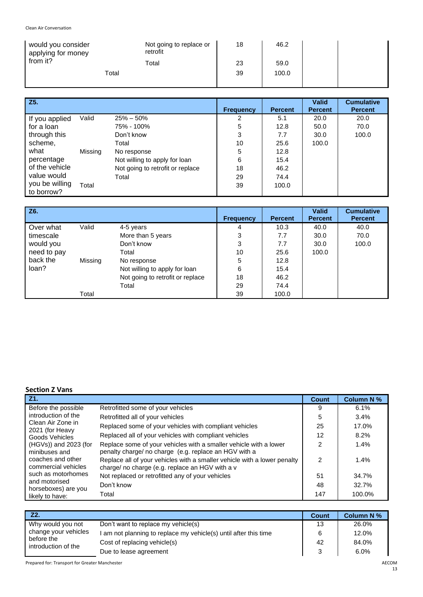| would you consider<br>applying for money | Not going to replace or<br>retrofit | 18 | 46.2  |  |
|------------------------------------------|-------------------------------------|----|-------|--|
| from it?                                 | Total                               | 23 | 59.0  |  |
| Total                                    |                                     | 39 | 100.0 |  |
|                                          |                                     |    |       |  |

| $\overline{Z5}$ .            |         |                                  | <b>Frequency</b> | <b>Percent</b> | <b>Valid</b><br><b>Percent</b> | <b>Cumulative</b><br><b>Percent</b> |
|------------------------------|---------|----------------------------------|------------------|----------------|--------------------------------|-------------------------------------|
| If you applied               | Valid   | $25\% - 50\%$                    | 2                | 5.1            | 20.0                           | 20.0                                |
| for a loan                   |         | 75% - 100%                       | 5                | 12.8           | 50.0                           | 70.0                                |
| through this                 |         | Don't know                       | 3                | 7.7            | 30.0                           | 100.0                               |
| scheme,                      |         | Total                            | 10               | 25.6           | 100.0                          |                                     |
| what                         | Missing | No response                      | 5                | 12.8           |                                |                                     |
| percentage                   |         | Not willing to apply for loan    | 6                | 15.4           |                                |                                     |
| of the vehicle               |         | Not going to retrofit or replace | 18               | 46.2           |                                |                                     |
| value would                  |         | Total                            | 29               | 74.4           |                                |                                     |
| you be willing<br>to borrow? | Total   |                                  | 39               | 100.0          |                                |                                     |

| Z6.         |         |                                  | <b>Frequency</b> | <b>Percent</b> | <b>Valid</b><br><b>Percent</b> | <b>Cumulative</b><br><b>Percent</b> |
|-------------|---------|----------------------------------|------------------|----------------|--------------------------------|-------------------------------------|
| Over what   | Valid   | 4-5 years                        | 4                | 10.3           | 40.0                           | 40.0                                |
| timescale   |         | More than 5 years                | 3                | 7.7            | 30.0                           | 70.0                                |
| would you   |         | Don't know                       | 3                | 7.7            | 30.0                           | 100.0                               |
| need to pay |         | Total                            | 10               | 25.6           | 100.0                          |                                     |
| back the    | Missing | No response                      | 5                | 12.8           |                                |                                     |
| loan?       |         | Not willing to apply for loan    | 6                | 15.4           |                                |                                     |
|             |         | Not going to retrofit or replace | 18               | 46.2           |                                |                                     |
|             |         | Total                            | 29               | 74.4           |                                |                                     |
|             | Total   |                                  | 39               | 100.0          |                                |                                     |

### **Section Z Vans**

| Z1.                                                                                |                                                                                                                             | Count          | <b>Column N %</b> |
|------------------------------------------------------------------------------------|-----------------------------------------------------------------------------------------------------------------------------|----------------|-------------------|
| Before the possible                                                                | Retrofitted some of your vehicles                                                                                           | 9              | 6.1%              |
| introduction of the                                                                | Retrofitted all of your vehicles                                                                                            | 5              | 3.4%              |
| Clean Air Zone in<br>2021 (for Heavy                                               | Replaced some of your vehicles with compliant vehicles                                                                      | 25             | 17.0%             |
| Goods Vehicles                                                                     | Replaced all of your vehicles with compliant vehicles                                                                       | 12             | 8.2%              |
| (HGVs)) and 2023 (for<br>minibuses and<br>coaches and other<br>commercial vehicles | Replace some of your vehicles with a smaller vehicle with a lower<br>penalty charge/ no charge (e.g. replace an HGV with a  | $\mathfrak{p}$ | 1.4%              |
|                                                                                    | Replace all of your vehicles with a smaller vehicle with a lower penalty<br>charge/ no charge (e.g. replace an HGV with a v | 2              | 1.4%              |
| such as motorhomes                                                                 | Not replaced or retrofitted any of your vehicles                                                                            | 51             | 34.7%             |
| and motorised<br>horseboxes) are you                                               | Don't know                                                                                                                  | 48             | 32.7%             |
| likely to have:                                                                    | Total                                                                                                                       | 147            | 100.0%            |

| Z2.                                                                            |                                                                  | <b>Count</b> | <b>Column N %</b> |
|--------------------------------------------------------------------------------|------------------------------------------------------------------|--------------|-------------------|
| Why would you not<br>change your vehicles<br>before the<br>introduction of the | Don't want to replace my vehicle(s)                              | 13           | 26.0%             |
|                                                                                | I am not planning to replace my vehicle(s) until after this time | 6            | 12.0%             |
|                                                                                | Cost of replacing vehicle(s)                                     | 42           | 84.0%             |
|                                                                                | Due to lease agreement                                           | વ            | 6.0%              |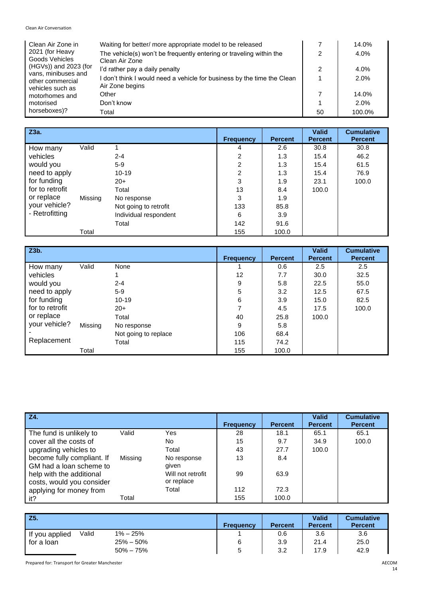| Clean Air Zone in                                           | Waiting for better/ more appropriate model to be released                                  |    | 14.0%  |
|-------------------------------------------------------------|--------------------------------------------------------------------------------------------|----|--------|
| 2021 (for Heavy<br>Goods Vehicles                           | The vehicle(s) won't be frequently entering or traveling within the<br>Clean Air Zone      | っ  | 4.0%   |
| (HGVs)) and 2023 (for                                       | I'd rather pay a daily penalty                                                             | 2  | 4.0%   |
| vans, minibuses and<br>other commercial<br>vehicles such as | I don't think I would need a vehicle for business by the time the Clean<br>Air Zone begins |    | 2.0%   |
| motorhomes and                                              | Other                                                                                      |    | 14.0%  |
| motorised<br>horseboxes)?                                   | Don't know                                                                                 |    | 2.0%   |
|                                                             | Total                                                                                      | 50 | 100.0% |

| $\overline{Z}$  |         |                       |                  |                | <b>Valid</b>   | <b>Cumulative</b> |
|-----------------|---------|-----------------------|------------------|----------------|----------------|-------------------|
|                 |         |                       | <b>Frequency</b> | <b>Percent</b> | <b>Percent</b> | <b>Percent</b>    |
| How many        | Valid   |                       | 4                | 2.6            | 30.8           | 30.8              |
| vehicles        |         | $2 - 4$               | 2                | 1.3            | 15.4           | 46.2              |
| would you       |         | $5-9$                 | $\overline{2}$   | 1.3            | 15.4           | 61.5              |
| need to apply   |         | $10 - 19$             | $\overline{2}$   | 1.3            | 15.4           | 76.9              |
| for funding     |         | $20+$                 | 3                | 1.9            | 23.1           | 100.0             |
| for to retrofit |         | Total                 | 13               | 8.4            | 100.0          |                   |
| or replace      | Missing | No response           | 3                | 1.9            |                |                   |
| your vehicle?   |         | Not going to retrofit | 133              | 85.8           |                |                   |
| - Retrofitting  |         | Individual respondent | 6                | 3.9            |                |                   |
|                 |         | Total                 | 142              | 91.6           |                |                   |
|                 | Total   |                       | 155              | 100.0          |                |                   |

| Z3b.            |         |                      | <b>Frequency</b> | <b>Percent</b> | <b>Valid</b><br><b>Percent</b> | <b>Cumulative</b><br><b>Percent</b> |
|-----------------|---------|----------------------|------------------|----------------|--------------------------------|-------------------------------------|
| How many        | Valid   | None                 |                  | 0.6            | 2.5                            | 2.5                                 |
| vehicles        |         |                      | 12               | 7.7            | 30.0                           | 32.5                                |
| would you       |         | $2 - 4$              | 9                | 5.8            | 22.5                           | 55.0                                |
| need to apply   |         | $5-9$                | 5                | 3.2            | 12.5                           | 67.5                                |
| for funding     |         | $10 - 19$            | 6                | 3.9            | 15.0                           | 82.5                                |
| for to retrofit |         | $20+$                | 7                | 4.5            | 17.5                           | 100.0                               |
| or replace      |         | Total                | 40               | 25.8           | 100.0                          |                                     |
| your vehicle?   | Missing | No response          | 9                | 5.8            |                                |                                     |
|                 |         | Not going to replace | 106              | 68.4           |                                |                                     |
| Replacement     |         | Total                | 115              | 74.2           |                                |                                     |
|                 | Total   |                      | 155              | 100.0          |                                |                                     |

| Z4.                        |         |                   | <b>Frequency</b> | <b>Percent</b> | <b>Valid</b><br><b>Percent</b> | <b>Cumulative</b><br><b>Percent</b> |
|----------------------------|---------|-------------------|------------------|----------------|--------------------------------|-------------------------------------|
| The fund is unlikely to    | Valid   | Yes               | 28               | 18.1           | 65.1                           | 65.1                                |
| cover all the costs of     |         | No.               | 15               | 9.7            | 34.9                           | 100.0                               |
| upgrading vehicles to      |         | Total             | 43               | 27.7           | 100.0                          |                                     |
| become fully compliant. If | Missing | No response       | 13               | 8.4            |                                |                                     |
| GM had a loan scheme to    |         | given             |                  |                |                                |                                     |
| help with the additional   |         | Will not retrofit | 99               | 63.9           |                                |                                     |
| costs, would you consider  |         | or replace        |                  |                |                                |                                     |
| applying for money from    |         | Total             | 112              | 72.3           |                                |                                     |
| it?                        | Total   |                   | 155              | 100.0          |                                |                                     |

| Z5.            |       |               | <b>Frequency</b> | <b>Percent</b> | <b>Valid</b><br><b>Percent</b> | <b>Cumulative</b><br><b>Percent</b> |
|----------------|-------|---------------|------------------|----------------|--------------------------------|-------------------------------------|
| If you applied | Valid | $1\% - 25\%$  |                  | 0.6            | 3.6                            | 3.6                                 |
| for a loan     |       | $25\% - 50\%$ | 6                | 3.9            | 21.4                           | 25.0                                |
|                |       | $50\% - 75\%$ | 5                | 3.2            | 17.9                           | 42.9                                |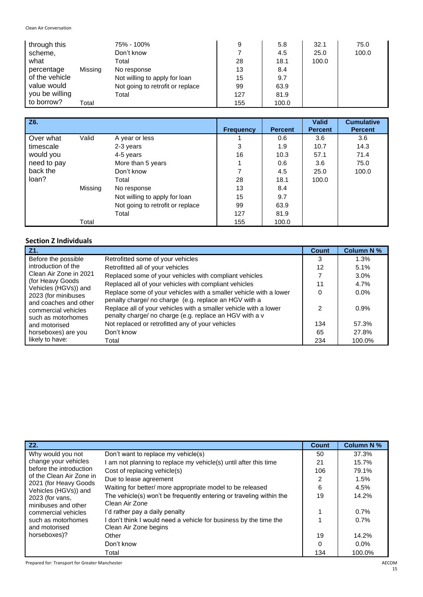| through this   |         | 75% - 100%                       | 9   | 5.8   | 32.1  | 75.0  |
|----------------|---------|----------------------------------|-----|-------|-------|-------|
| scheme,        |         | Don't know                       |     | 4.5   | 25.0  | 100.0 |
| what           |         | Total                            | 28  | 18.1  | 100.0 |       |
| percentage     | Missing | No response                      | 13  | 8.4   |       |       |
| of the vehicle |         | Not willing to apply for loan    | 15  | 9.7   |       |       |
| value would    |         | Not going to retrofit or replace | 99  | 63.9  |       |       |
| you be willing |         | Total                            | 127 | 81.9  |       |       |
| to borrow?     | Total   |                                  | 155 | 100.0 |       |       |

| Z6.         |         |                                  | <b>Frequency</b> | <b>Percent</b> | <b>Valid</b><br><b>Percent</b> | <b>Cumulative</b><br><b>Percent</b> |
|-------------|---------|----------------------------------|------------------|----------------|--------------------------------|-------------------------------------|
| Over what   | Valid   | A year or less                   |                  | 0.6            | 3.6                            | 3.6                                 |
| timescale   |         | 2-3 years                        | 3                | 1.9            | 10.7                           | 14.3                                |
| would you   |         | 4-5 years                        | 16               | 10.3           | 57.1                           | 71.4                                |
| need to pay |         | More than 5 years                |                  | 0.6            | 3.6                            | 75.0                                |
| back the    |         | Don't know                       | 7                | 4.5            | 25.0                           | 100.0                               |
| loan?       |         | Total                            | 28               | 18.1           | 100.0                          |                                     |
|             | Missing | No response                      | 13               | 8.4            |                                |                                     |
|             |         | Not willing to apply for loan    | 15               | 9.7            |                                |                                     |
|             |         | Not going to retrofit or replace | 99               | 63.9           |                                |                                     |
|             |         | Total                            | 127              | 81.9           |                                |                                     |
|             | Total   |                                  | 155              | 100.0          |                                |                                     |

### **Section Z Individuals**

| Z1.                                                                |                                                                                                                             | <b>Count</b> | <b>Column N %</b> |
|--------------------------------------------------------------------|-----------------------------------------------------------------------------------------------------------------------------|--------------|-------------------|
| Before the possible<br>introduction of the                         | Retrofitted some of your vehicles                                                                                           | 3            | 1.3%              |
|                                                                    | Retrofitted all of your vehicles                                                                                            | 12           | 5.1%              |
| Clean Air Zone in 2021                                             | Replaced some of your vehicles with compliant vehicles                                                                      |              | 3.0%              |
| (for Heavy Goods)                                                  | Replaced all of your vehicles with compliant vehicles                                                                       | 11           | 4.7%              |
| Vehicles (HGVs)) and<br>2023 (for minibuses                        | Replace some of your vehicles with a smaller vehicle with a lower<br>penalty charge/ no charge (e.g. replace an HGV with a  | 0            | $0.0\%$           |
| and coaches and other<br>commercial vehicles<br>such as motorhomes | Replace all of your vehicles with a smaller vehicle with a lower<br>penalty charge/ no charge (e.g. replace an HGV with a v | 2            | 0.9%              |
| and motorised                                                      | Not replaced or retrofitted any of your vehicles                                                                            | 134          | 57.3%             |
| horseboxes) are you                                                | Don't know                                                                                                                  | 65           | 27.8%             |
| likely to have:                                                    | Total                                                                                                                       | 234          | 100.0%            |

| Z2.                                                 |                                                                                          | <b>Count</b> | <b>Column N %</b> |
|-----------------------------------------------------|------------------------------------------------------------------------------------------|--------------|-------------------|
| Why would you not<br>change your vehicles           | Don't want to replace my vehicle(s)                                                      | 50           | 37.3%             |
|                                                     | am not planning to replace my vehicle(s) until after this time                           | 21           | 15.7%             |
| before the introduction                             | Cost of replacing vehicle(s)                                                             | 106          | 79.1%             |
| of the Clean Air Zone in                            | Due to lease agreement                                                                   | 2            | 1.5%              |
| 2021 (for Heavy Goods)<br>Vehicles (HGVs)) and      | Waiting for better/ more appropriate model to be released                                | 6            | 4.5%              |
| 2023 (for vans,<br>minibuses and other              | The vehicle(s) won't be frequently entering or traveling within the<br>Clean Air Zone    | 19           | 14.2%             |
| commercial vehicles                                 | I'd rather pay a daily penalty                                                           |              | 0.7%              |
| such as motorhomes<br>and motorised<br>horseboxes)? | don't think I would need a vehicle for business by the time the<br>Clean Air Zone begins |              | 0.7%              |
|                                                     | Other                                                                                    | 19           | 14.2%             |
|                                                     | Don't know                                                                               | $\Omega$     | $0.0\%$           |
|                                                     | Total                                                                                    | 134          | 100.0%            |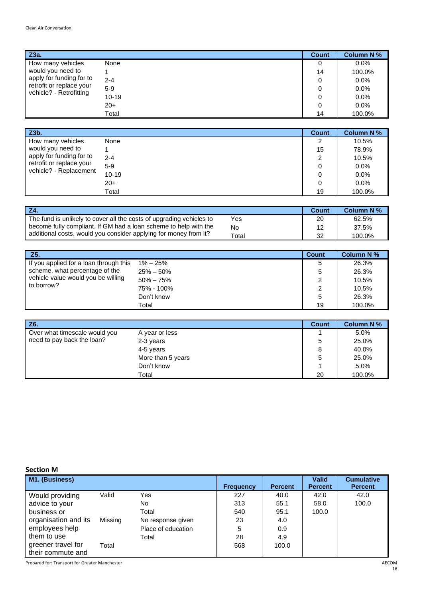| Z3a.                     |           | <b>Count</b> | <b>Column N %</b> |
|--------------------------|-----------|--------------|-------------------|
| How many vehicles        | None      | 0            | $0.0\%$           |
| would you need to        |           | 14           | 100.0%            |
| apply for funding for to | $2 - 4$   | 0            | 0.0%              |
| retrofit or replace your | $5-9$     | 0            | 0.0%              |
| vehicle? - Retrofitting  | $10 - 19$ | 0            | 0.0%              |
|                          | $20+$     | 0            | 0.0%              |
|                          | Total     | 14           | 100.0%            |

| Z3b.                     |           | <b>Count</b> | <b>Column N %</b> |
|--------------------------|-----------|--------------|-------------------|
| How many vehicles        | None      | 2            | 10.5%             |
| would you need to        |           | 15           | 78.9%             |
| apply for funding for to | $2 - 4$   | 2            | 10.5%             |
| retrofit or replace your | $5-9$     | 0            | 0.0%              |
| vehicle? - Replacement   | $10 - 19$ | 0            | 0.0%              |
|                          | $20+$     | 0            | 0.0%              |
|                          | Total     | 19           | 100.0%            |

|                                                                      |             | Count | <b>Column N %</b> |
|----------------------------------------------------------------------|-------------|-------|-------------------|
| The fund is unlikely to cover all the costs of upgrading vehicles to | Yes         | 20    | 62.5%             |
| become fully compliant. If GM had a loan scheme to help with the     | No.         | 10    | 37.5%             |
| additional costs, would you consider applying for money from it?     | $\tau$ otal | 32    | 100.0%            |

| Z5.                                    |               | <b>Count</b> | <b>Column N %</b> |
|----------------------------------------|---------------|--------------|-------------------|
| If you applied for a loan through this | $1\% - 25\%$  | 5            | 26.3%             |
| scheme, what percentage of the         | $25\% - 50\%$ | 5            | 26.3%             |
| vehicle value would you be willing     | $50\% - 75\%$ | 2            | 10.5%             |
| to borrow?                             | 75% - 100%    | 2            | 10.5%             |
|                                        | Don't know    | 5            | 26.3%             |
|                                        | Total         | 19           | 100.0%            |

| Z6.                           |                   | <b>Count</b> | <b>Column N %</b> |
|-------------------------------|-------------------|--------------|-------------------|
| Over what timescale would you | A year or less    |              | 5.0%              |
| need to pay back the loan?    | 2-3 years         | 5            | 25.0%             |
|                               | 4-5 years         | 8            | 40.0%             |
|                               | More than 5 years | 5            | 25.0%             |
|                               | Don't know        |              | 5.0%              |
|                               | Total             | 20           | 100.0%            |

**Section M**

| JELLIUII IVI         |         |                    |                  |                |                                |                                     |
|----------------------|---------|--------------------|------------------|----------------|--------------------------------|-------------------------------------|
| M1. (Business)       |         |                    | <b>Frequency</b> | <b>Percent</b> | <b>Valid</b><br><b>Percent</b> | <b>Cumulative</b><br><b>Percent</b> |
| Would providing      | Valid   | Yes                | 227              | 40.0           | 42.0                           | 42.0                                |
| advice to your       |         | No                 | 313              | 55.1           | 58.0                           | 100.0                               |
| business or          |         | Total              | 540              | 95.1           | 100.0                          |                                     |
| organisation and its | Missing | No response given  | 23               | 4.0            |                                |                                     |
| employees help       |         | Place of education | 5                | 0.9            |                                |                                     |
| them to use          |         | Total              | 28               | 4.9            |                                |                                     |
| greener travel for   | Total   |                    | 568              | 100.0          |                                |                                     |
| their commute and    |         |                    |                  |                |                                |                                     |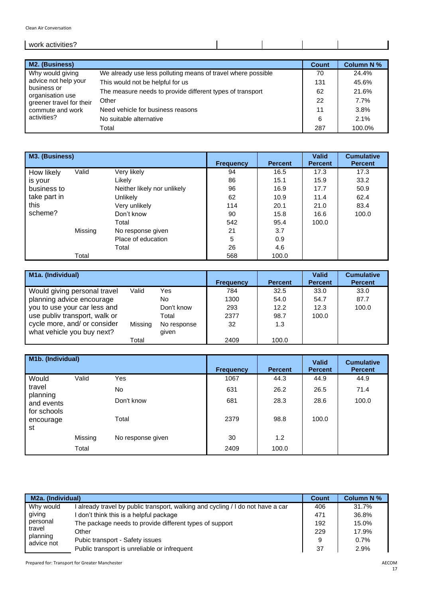| w |  |  |
|---|--|--|
|   |  |  |

| M2. (Business)                  |                                                              | <b>Count</b> | <b>Column N%</b> |
|---------------------------------|--------------------------------------------------------------|--------------|------------------|
| Why would giving                | We already use less polluting means of travel where possible | 70           | 24.4%            |
| advice not help your            | This would not be helpful for us                             | 131          | 45.6%            |
| business or<br>organisation use | The measure needs to provide different types of transport    | 62           | 21.6%            |
| greener travel for their        | Other                                                        | 22           | 7.7%             |
| commute and work                | Need vehicle for business reasons                            | 11           | 3.8%             |
| activities?                     | No suitable alternative                                      | 6            | 2.1%             |
|                                 | Total                                                        | 287          | 100.0%           |

| M3. (Business) |         |                             |                  |                | <b>Valid</b><br><b>Percent</b> | <b>Cumulative</b> |
|----------------|---------|-----------------------------|------------------|----------------|--------------------------------|-------------------|
|                |         |                             | <b>Frequency</b> | <b>Percent</b> |                                | <b>Percent</b>    |
| How likely     | Valid   | Very likely                 | 94               | 16.5           | 17.3                           | 17.3              |
| is your        |         | Likely                      | 86               | 15.1           | 15.9                           | 33.2              |
| business to    |         | Neither likely nor unlikely | 96               | 16.9           | 17.7                           | 50.9              |
| take part in   |         | Unlikely                    | 62               | 10.9           | 11.4                           | 62.4              |
| this           |         | Very unlikely               | 114              | 20.1           | 21.0                           | 83.4              |
| scheme?        |         | Don't know                  | 90               | 15.8           | 16.6                           | 100.0             |
|                |         | Total                       | 542              | 95.4           | 100.0                          |                   |
|                | Missing | No response given           | 21               | 3.7            |                                |                   |
|                |         | Place of education          | 5                | 0.9            |                                |                   |
|                |         | Total                       | 26               | 4.6            |                                |                   |
|                | Total   |                             | 568              | 100.0          |                                |                   |

| M <sub>1</sub> a. (Individual)                             |         |                      | <b>Frequency</b> | <b>Percent</b> | <b>Valid</b><br><b>Percent</b> | <b>Cumulative</b><br><b>Percent</b> |
|------------------------------------------------------------|---------|----------------------|------------------|----------------|--------------------------------|-------------------------------------|
| Would giving personal travel                               | Valid   | Yes                  | 784              | 32.5           | 33.0                           | 33.0                                |
| planning advice encourage                                  |         | No                   | 1300             | 54.0           | 54.7                           | 87.7                                |
| you to use your car less and                               |         | Don't know           | 293              | 12.2           | 12.3                           | 100.0                               |
| use publiv transport, walk or                              |         | Total                | 2377             | 98.7           | 100.0                          |                                     |
| cycle more, and/ or consider<br>what vehicle you buy next? | Missing | No response<br>given | 32               | 1.3            |                                |                                     |
|                                                            | Total   |                      | 2409             | 100.0          |                                |                                     |

| M1b. (Individual)                                                  |         |                   | <b>Frequency</b> | <b>Percent</b> | <b>Valid</b><br><b>Percent</b> | <b>Cumulative</b><br><b>Percent</b> |
|--------------------------------------------------------------------|---------|-------------------|------------------|----------------|--------------------------------|-------------------------------------|
| Would                                                              | Valid   | Yes               | 1067             | 44.3           | 44.9                           | 44.9                                |
| travel<br>planning<br>and events<br>for schools<br>encourage<br>st |         | No.               | 631              | 26.2           | 26.5                           | 71.4                                |
|                                                                    |         | Don't know        | 681              | 28.3           | 28.6                           | 100.0                               |
|                                                                    |         | Total             | 2379             | 98.8           | 100.0                          |                                     |
|                                                                    | Missing | No response given | 30               | 1.2            |                                |                                     |
|                                                                    | Total   |                   | 2409             | 100.0          |                                |                                     |

| <b>M2a. (Individual)</b> | Count                                                                         | <b>Column N %</b> |       |
|--------------------------|-------------------------------------------------------------------------------|-------------------|-------|
| Why would                | already travel by public transport, walking and cycling / I do not have a car | 406               | 31.7% |
| giving                   | don't think this is a helpful package                                         | 471               | 36.8% |
| personal                 | The package needs to provide different types of support                       | 192               | 15.0% |
| travel<br>planning       | Other                                                                         | 229               | 17.9% |
| advice not               | Pubic transport - Safety issues                                               | 9                 | 0.7%  |
|                          | Public transport is unreliable or infrequent                                  | 37                | 2.9%  |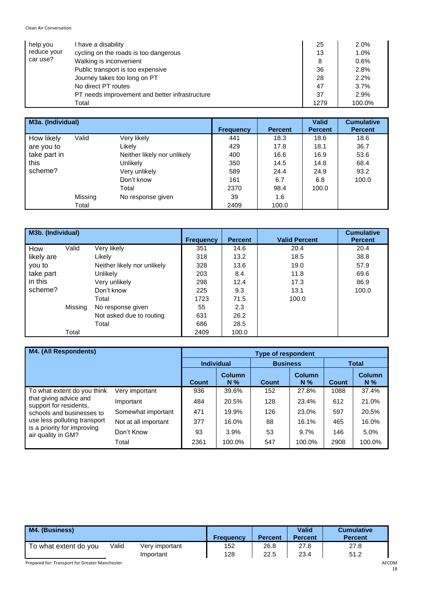| help you    | have a disability                              | 25   | 2.0%   |
|-------------|------------------------------------------------|------|--------|
| reduce your | cycling on the roads is too dangerous          | 13   | 1.0%   |
| car use?    | Walking is inconvenient                        | 8    | 0.6%   |
|             | Public transport is too expensive              | 36   | 2.8%   |
|             | Journey takes too long on PT                   | 28   | 2.2%   |
|             | No direct PT routes                            | 47   | 3.7%   |
|             | PT needs improvement and better infrastructure | 37   | 2.9%   |
|             | Total                                          | 1279 | 100.0% |

| M3a. (Individual) |         |                             |                  |                | <b>Valid</b>   | <b>Cumulative</b> |
|-------------------|---------|-----------------------------|------------------|----------------|----------------|-------------------|
|                   |         |                             | <b>Frequency</b> | <b>Percent</b> | <b>Percent</b> | <b>Percent</b>    |
| How likely        | Valid   | Very likely                 | 441              | 18.3           | 18.6           | 18.6              |
| are you to        |         | Likely                      | 429              | 17.8           | 18.1           | 36.7              |
| take part in      |         | Neither likely nor unlikely | 400              | 16.6           | 16.9           | 53.6              |
| this              |         | <b>Unlikely</b>             | 350              | 14.5           | 14.8           | 68.4              |
| scheme?           |         | Very unlikely               | 589              | 24.4           | 24.9           | 93.2              |
|                   |         | Don't know                  | 161              | 6.7            | 6.8            | 100.0             |
|                   |         | Total                       | 2370             | 98.4           | 100.0          |                   |
|                   | Missing | No response given           | 39               | 1.6            |                |                   |
|                   | Total   |                             | 2409             | 100.0          |                |                   |

| M3b. (Individual) |         |                             | <b>Frequency</b> | <b>Percent</b> | <b>Valid Percent</b> | <b>Cumulative</b><br><b>Percent</b> |
|-------------------|---------|-----------------------------|------------------|----------------|----------------------|-------------------------------------|
| How               | Valid   | Very likely                 | 351              | 14.6           | 20.4                 | 20.4                                |
| likely are        |         | Likely                      | 318              | 13.2           | 18.5                 | 38.8                                |
| you to            |         | Neither likely nor unlikely | 328              | 13.6           | 19.0                 | 57.9                                |
| take part         |         | Unlikely                    | 203              | 8.4            | 11.8                 | 69.6                                |
| in this           |         | Very unlikely               | 298              | 12.4           | 17.3                 | 86.9                                |
| scheme?           |         | Don't know                  | 225              | 9.3            | 13.1                 | 100.0                               |
|                   |         | Total                       | 1723             | 71.5           | 100.0                |                                     |
|                   | Missing | No response given           | 55               | 2.3            |                      |                                     |
|                   |         | Not asked due to routing    | 631              | 26.2           |                      |                                     |
|                   |         | Total                       | 686              | 28.5           |                      |                                     |
|                   | Total   |                             | 2409             | 100.0          |                      |                                     |

| <b>M4. (All Respondents)</b>                                                      |                      |              | <b>Type of respondent</b> |              |                        |              |                        |  |  |
|-----------------------------------------------------------------------------------|----------------------|--------------|---------------------------|--------------|------------------------|--------------|------------------------|--|--|
|                                                                                   |                      |              | <b>Individual</b>         |              | <b>Business</b>        | Total        |                        |  |  |
|                                                                                   |                      | <b>Count</b> | <b>Column</b><br>$N\%$    | <b>Count</b> | <b>Column</b><br>$N\%$ | <b>Count</b> | <b>Column</b><br>$N\%$ |  |  |
| To what extent do you think                                                       | Very important       | 936          | 39.6%                     | 152          | 27.8%                  | 1088         | 37.4%                  |  |  |
| that giving advice and<br>support for residents,                                  | Important            | 484          | 20.5%                     | 128          | 23.4%                  | 612          | 21.0%                  |  |  |
| schools and businesses to                                                         | Somewhat important   | 471          | 19.9%                     | 126          | 23.0%                  | 597          | 20.5%                  |  |  |
| use less polluting transport<br>is a priority for improving<br>air quality in GM? | Not at all important | 377          | 16.0%                     | 88           | 16.1%                  | 465          | 16.0%                  |  |  |
|                                                                                   | Don't Know           | 93           | 3.9%                      | 53           | 9.7%                   | 146          | 5.0%                   |  |  |
|                                                                                   | Total                | 2361         | 100.0%                    | 547          | 100.0%                 | 2908         | 100.0%                 |  |  |

| M4. (Business)                                 |       |                | <b>Frequency</b> | <b>Percent</b> | <b>Valid</b><br><b>Percent</b> | <b>Cumulative</b><br><b>Percent</b> |
|------------------------------------------------|-------|----------------|------------------|----------------|--------------------------------|-------------------------------------|
| To what extent do you                          | Valid | Very important | 152              | 26.8           | 27.8                           | 27.8                                |
|                                                |       | Important      | 128              | 22.5           | 23.4                           | 51.2                                |
| Prepared for: Transport for Greater Manchester |       |                |                  |                |                                | <b>AECO</b>                         |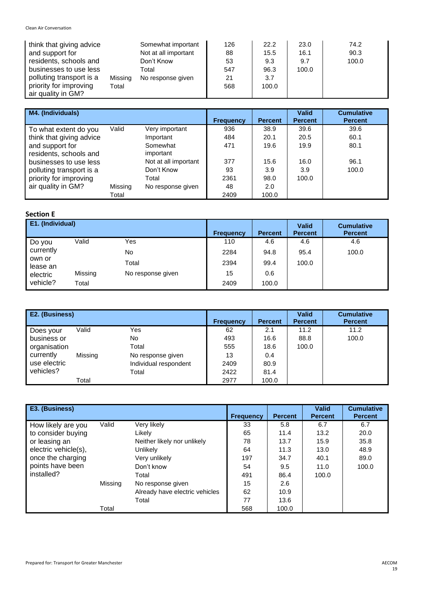| think that giving advice |         | Somewhat important   | 126 | 22.2  | 23.0  | 74.2  |
|--------------------------|---------|----------------------|-----|-------|-------|-------|
| and support for          |         | Not at all important | 88  | 15.5  | 16.1  | 90.3  |
| residents, schools and   |         | Don't Know           | 53  | 9.3   | 9.7   | 100.0 |
| businesses to use less   |         | Total                | 547 | 96.3  | 100.0 |       |
| polluting transport is a | Missing | No response given    | 21  | 3.7   |       |       |
| priority for improving   | Total   |                      | 568 | 100.0 |       |       |
| air quality in GM?       |         |                      |     |       |       |       |

| M4. (Individuals)        |         |                      | <b>Frequency</b> | <b>Percent</b> | <b>Valid</b><br><b>Percent</b> | <b>Cumulative</b><br><b>Percent</b> |
|--------------------------|---------|----------------------|------------------|----------------|--------------------------------|-------------------------------------|
|                          |         |                      |                  |                |                                |                                     |
| To what extent do you    | Valid   | Very important       | 936              | 38.9           | 39.6                           | 39.6                                |
| think that giving advice |         | Important            | 484              | 20.1           | 20.5                           | 60.1                                |
| and support for          |         | Somewhat             | 471              | 19.6           | 19.9                           | 80.1                                |
| residents, schools and   |         | important            |                  |                |                                |                                     |
| businesses to use less   |         | Not at all important | 377              | 15.6           | 16.0                           | 96.1                                |
| polluting transport is a |         | Don't Know           | 93               | 3.9            | 3.9                            | 100.0                               |
| priority for improving   |         | Total                | 2361             | 98.0           | 100.0                          |                                     |
| air quality in GM?       | Missing | No response given    | 48               | 2.0            |                                |                                     |
|                          | Total   |                      | 2409             | 100.0          |                                |                                     |

### **Section E**

| E1. (Individual)   |         |                   | <b>Frequency</b> | <b>Percent</b> | <b>Valid</b><br><b>Percent</b> | <b>Cumulative</b><br><b>Percent</b> |
|--------------------|---------|-------------------|------------------|----------------|--------------------------------|-------------------------------------|
| Do you             | Valid   | Yes               | 110              | 4.6            | 4.6                            | 4.6                                 |
| currently          |         | No                | 2284             | 94.8           | 95.4                           | 100.0                               |
| own or<br>lease an |         | Total             | 2394             | 99.4           | 100.0                          |                                     |
| electric           | Missing | No response given | 15               | 0.6            |                                |                                     |
| vehicle?           | Total   |                   | 2409             | 100.0          |                                |                                     |

| E2. (Business) |         |                       | <b>Frequency</b> | <b>Percent</b> | <b>Valid</b><br><b>Percent</b> | <b>Cumulative</b><br><b>Percent</b> |
|----------------|---------|-----------------------|------------------|----------------|--------------------------------|-------------------------------------|
| Does your      | Valid   | Yes                   | 62               | 2.1            | 11.2                           | 11.2                                |
| business or    |         | No                    | 493              | 16.6           | 88.8                           | 100.0                               |
| organisation   |         | Total                 | 555              | 18.6           | 100.0                          |                                     |
| currently      | Missing | No response given     | 13               | 0.4            |                                |                                     |
| use electric   |         | Individual respondent | 2409             | 80.9           |                                |                                     |
| vehicles?      |         | Total                 | 2422             | 81.4           |                                |                                     |
|                | Total   |                       | 2977             | 100.0          |                                |                                     |

| E3. (Business)       |         |                                | <b>Frequency</b> | <b>Percent</b> | <b>Valid</b><br><b>Percent</b> | <b>Cumulative</b><br><b>Percent</b> |
|----------------------|---------|--------------------------------|------------------|----------------|--------------------------------|-------------------------------------|
| How likely are you   | Valid   | Very likely                    | 33               | 5.8            | 6.7                            | 6.7                                 |
| to consider buying   |         | Likelv                         | 65               | 11.4           | 13.2                           | 20.0                                |
| or leasing an        |         | Neither likely nor unlikely    | 78               | 13.7           | 15.9                           | 35.8                                |
| electric vehicle(s), |         | <b>Unlikely</b>                | 64               | 11.3           | 13.0                           | 48.9                                |
| once the charging    |         | Very unlikely                  | 197              | 34.7           | 40.1                           | 89.0                                |
| points have been     |         | Don't know                     | 54               | 9.5            | 11.0                           | 100.0                               |
| installed?           |         | Total                          | 491              | 86.4           | 100.0                          |                                     |
|                      | Missing | No response given              | 15               | 2.6            |                                |                                     |
|                      |         | Already have electric vehicles | 62               | 10.9           |                                |                                     |
|                      |         | Total                          | 77               | 13.6           |                                |                                     |
|                      | Total   |                                | 568              | 100.0          |                                |                                     |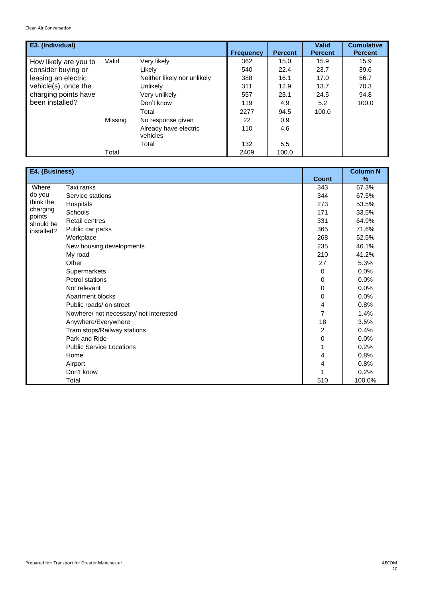| E3. (Individual)      |         |                                   | <b>Frequency</b> | <b>Percent</b> | <b>Valid</b><br><b>Percent</b> | <b>Cumulative</b><br><b>Percent</b> |
|-----------------------|---------|-----------------------------------|------------------|----------------|--------------------------------|-------------------------------------|
| How likely are you to | Valid   | Very likely                       | 362              | 15.0           | 15.9                           | 15.9                                |
| consider buying or    |         | Likely                            | 540              | 22.4           | 23.7                           | 39.6                                |
| leasing an electric   |         | Neither likely nor unlikely       | 388              | 16.1           | 17.0                           | 56.7                                |
| vehicle(s), once the  |         | Unlikely                          | 311              | 12.9           | 13.7                           | 70.3                                |
| charging points have  |         | Very unlikely                     | 557              | 23.1           | 24.5                           | 94.8                                |
| been installed?       |         | Don't know                        | 119              | 4.9            | 5.2                            | 100.0                               |
|                       |         | Total                             | 2277             | 94.5           | 100.0                          |                                     |
|                       | Missing | No response given                 | 22               | 0.9            |                                |                                     |
|                       |         | Already have electric<br>vehicles | 110              | 4.6            |                                |                                     |
|                       |         | Total                             | 132              | $5.5^{\circ}$  |                                |                                     |
|                       | Total   |                                   | 2409             | 100.0          |                                |                                     |

| E4. (Business)      |                                        | <b>Count</b> | <b>Column N</b><br>$\%$ |
|---------------------|----------------------------------------|--------------|-------------------------|
| Where               | Taxi ranks                             | 343          | 67.3%                   |
| do you              | Service stations                       | 344          | 67.5%                   |
| think the           | Hospitals                              | 273          | 53.5%                   |
| charging            | Schools                                | 171          | 33.5%                   |
| points<br>should be | <b>Retail centres</b>                  | 331          | 64.9%                   |
| installed?          | Public car parks                       | 365          | 71.6%                   |
|                     | Workplace                              | 268          | 52.5%                   |
|                     | New housing developments               | 235          | 46.1%                   |
|                     | My road                                | 210          | 41.2%                   |
|                     | Other                                  | 27           | 5.3%                    |
|                     | Supermarkets                           | 0            | 0.0%                    |
|                     | Petrol stations                        | 0            | 0.0%                    |
|                     | Not relevant                           | 0            | 0.0%                    |
|                     | Apartment blocks                       | 0            | 0.0%                    |
|                     | Public roads/ on street                | 4            | 0.8%                    |
|                     | Nowhere/ not necessary/ not interested | 7            | 1.4%                    |
|                     | Anywhere/Everywhere                    | 18           | 3.5%                    |
|                     | Tram stops/Railway stations            | 2            | 0.4%                    |
|                     | Park and Ride                          | 0            | 0.0%                    |
|                     | <b>Public Service Locations</b>        | 1            | 0.2%                    |
|                     | Home                                   | 4            | 0.8%                    |
|                     | Airport                                | 4            | 0.8%                    |
|                     | Don't know                             |              | 0.2%                    |
|                     | Total                                  | 510          | 100.0%                  |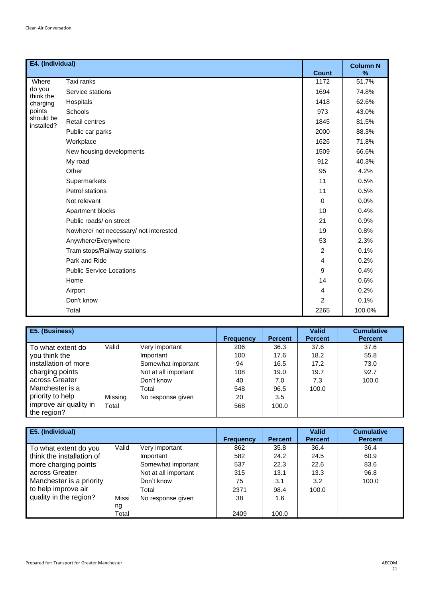| E4. (Individual)                         |                                        |                | <b>Column N</b> |
|------------------------------------------|----------------------------------------|----------------|-----------------|
|                                          |                                        | <b>Count</b>   | %               |
| Where<br>do you<br>think the<br>charging | Taxi ranks                             | 1172           | 51.7%           |
|                                          | Service stations                       | 1694           | 74.8%           |
|                                          | Hospitals                              | 1418           | 62.6%           |
| points                                   | Schools                                | 973            | 43.0%           |
| should be<br>installed?                  | <b>Retail centres</b>                  | 1845           | 81.5%           |
|                                          | Public car parks                       | 2000           | 88.3%           |
|                                          | Workplace                              | 1626           | 71.8%           |
|                                          | New housing developments               | 1509           | 66.6%           |
|                                          | My road                                | 912            | 40.3%           |
|                                          | Other                                  | 95             | 4.2%            |
|                                          | Supermarkets                           | 11             | 0.5%            |
|                                          | Petrol stations                        | 11             | 0.5%            |
|                                          | Not relevant                           | $\Omega$       | 0.0%            |
|                                          | Apartment blocks                       | 10             | 0.4%            |
|                                          | Public roads/ on street                | 21             | 0.9%            |
|                                          | Nowhere/ not necessary/ not interested | 19             | 0.8%            |
|                                          | Anywhere/Everywhere                    | 53             | 2.3%            |
|                                          | Tram stops/Railway stations            | 2              | 0.1%            |
|                                          | Park and Ride                          | $\overline{4}$ | 0.2%            |
|                                          | <b>Public Service Locations</b>        | 9              | 0.4%            |
|                                          | Home                                   | 14             | 0.6%            |
|                                          | Airport                                | $\overline{4}$ | 0.2%            |
|                                          | Don't know                             | $\overline{2}$ | 0.1%            |
|                                          | Total                                  | 2265           | 100.0%          |

| E5. (Business)                        |         |                      | <b>Frequency</b> | <b>Percent</b> | <b>Valid</b><br><b>Percent</b> | <b>Cumulative</b><br><b>Percent</b> |
|---------------------------------------|---------|----------------------|------------------|----------------|--------------------------------|-------------------------------------|
| To what extent do                     | Valid   | Very important       | 206              | 36.3           | 37.6                           | 37.6                                |
| you think the                         |         | Important            | 100              | 17.6           | 18.2                           | 55.8                                |
| installation of more                  |         | Somewhat important   | 94               | 16.5           | 17.2                           | 73.0                                |
| charging points                       |         | Not at all important | 108              | 19.0           | 19.7                           | 92.7                                |
| across Greater                        |         | Don't know           | 40               | 7.0            | 7.3                            | 100.0                               |
| Manchester is a                       |         | Total                | 548              | 96.5           | 100.0                          |                                     |
| priority to help                      | Missing | No response given    | 20               | 3.5            |                                |                                     |
| improve air quality in<br>the region? | Total   |                      | 568              | 100.0          |                                |                                     |

| E5. (Individual)          |              |                      |                  |                | <b>Valid</b>   | <b>Cumulative</b> |
|---------------------------|--------------|----------------------|------------------|----------------|----------------|-------------------|
|                           |              |                      | <b>Frequency</b> | <b>Percent</b> | <b>Percent</b> | <b>Percent</b>    |
| To what extent do you     | Valid        | Very important       | 862              | 35.8           | 36.4           | 36.4              |
| think the installation of |              | Important            | 582              | 24.2           | 24.5           | 60.9              |
| more charging points      |              | Somewhat important   | 537              | 22.3           | 22.6           | 83.6              |
| across Greater            |              | Not at all important | 315              | 13.1           | 13.3           | 96.8              |
| Manchester is a priority  |              | Don't know           | 75               | 3.1            | 3.2            | 100.0             |
| to help improve air       |              | Total                | 2371             | 98.4           | 100.0          |                   |
| quality in the region?    | <b>Missi</b> | No response given    | 38               | 1.6            |                |                   |
|                           | ng           |                      |                  |                |                |                   |
|                           | Total        |                      | 2409             | 100.0          |                |                   |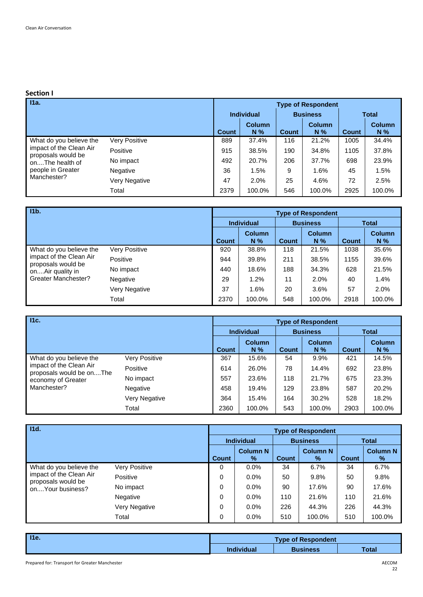### **Section I**

| $\overline{11a}$ .                            |               | <b>Type of Respondent</b> |                        |              |                        |              |                        |  |  |
|-----------------------------------------------|---------------|---------------------------|------------------------|--------------|------------------------|--------------|------------------------|--|--|
|                                               |               |                           | <b>Individual</b>      |              | <b>Business</b>        | <b>Total</b> |                        |  |  |
|                                               |               | <b>Count</b>              | <b>Column</b><br>$N\%$ | <b>Count</b> | <b>Column</b><br>$N\%$ | Count        | <b>Column</b><br>$N\%$ |  |  |
| What do you believe the                       | Very Positive | 889                       | 37.4%                  | 116          | 21.2%                  | 1005         | 34.4%                  |  |  |
| impact of the Clean Air<br>proposals would be | Positive      | 915                       | 38.5%                  | 190          | 34.8%                  | 1105         | 37.8%                  |  |  |
| onThe health of                               | No impact     | 492                       | 20.7%                  | 206          | 37.7%                  | 698          | 23.9%                  |  |  |
| people in Greater<br>Manchester?              | Negative      | 36                        | 1.5%                   | 9            | 1.6%                   | 45           | 1.5%                   |  |  |
|                                               | Very Negative | 47                        | 2.0%                   | 25           | 4.6%                   | 72           | 2.5%                   |  |  |
|                                               | Total         | 2379                      | 100.0%                 | 546          | 100.0%                 | 2925         | 100.0%                 |  |  |

| 11 <sub>b</sub>                               |               | <b>Type of Respondent</b> |                      |       |                        |              |                        |  |  |
|-----------------------------------------------|---------------|---------------------------|----------------------|-------|------------------------|--------------|------------------------|--|--|
|                                               |               | <b>Individual</b>         |                      |       | <b>Business</b>        |              | <b>Total</b>           |  |  |
|                                               |               | <b>Count</b>              | <b>Column</b><br>N % | Count | <b>Column</b><br>$N\%$ | <b>Count</b> | <b>Column</b><br>$N\%$ |  |  |
| What do you believe the                       | Very Positive | 920                       | 38.8%                | 118   | 21.5%                  | 1038         | 35.6%                  |  |  |
| impact of the Clean Air<br>proposals would be | Positive      | 944                       | 39.8%                | 211   | 38.5%                  | 1155         | 39.6%                  |  |  |
| onAir quality in                              | No impact     | 440                       | 18.6%                | 188   | 34.3%                  | 628          | 21.5%                  |  |  |
| Greater Manchester?                           | Negative      | 29                        | 1.2%                 | 11    | 2.0%                   | 40           | 1.4%                   |  |  |
|                                               | Very Negative | 37                        | 1.6%                 | 20    | 3.6%                   | 57           | 2.0%                   |  |  |
|                                               | Total         | 2370                      | 100.0%               | 548   | 100.0%                 | 2918         | 100.0%                 |  |  |

| Hc.                                                 |                      | <b>Type of Respondent</b> |                        |       |                        |       |                        |  |  |
|-----------------------------------------------------|----------------------|---------------------------|------------------------|-------|------------------------|-------|------------------------|--|--|
|                                                     |                      | <b>Individual</b>         |                        |       | <b>Business</b>        |       | <b>Total</b>           |  |  |
|                                                     |                      | <b>Count</b>              | <b>Column</b><br>$N\%$ | Count | <b>Column</b><br>$N\%$ | Count | <b>Column</b><br>$N\%$ |  |  |
| What do you believe the                             | <b>Very Positive</b> | 367                       | 15.6%                  | 54    | $9.9\%$                | 421   | 14.5%                  |  |  |
| impact of the Clean Air<br>proposals would be onThe | Positive             | 614                       | 26.0%                  | 78    | 14.4%                  | 692   | 23.8%                  |  |  |
| economy of Greater                                  | No impact            | 557                       | 23.6%                  | 118   | 21.7%                  | 675   | 23.3%                  |  |  |
| Manchester?                                         | Negative             | 458                       | 19.4%                  | 129   | 23.8%                  | 587   | 20.2%                  |  |  |
|                                                     | Very Negative        | 364                       | 15.4%                  | 164   | 30.2%                  | 528   | 18.2%                  |  |  |
|                                                     | Total                | 2360                      | 100.0%                 | 543   | 100.0%                 | 2903  | 100.0%                 |  |  |

| $-11d.$                                       |               |                   |                         |                 | <b>Type of Respondent</b> |              |                         |
|-----------------------------------------------|---------------|-------------------|-------------------------|-----------------|---------------------------|--------------|-------------------------|
|                                               |               | <b>Individual</b> |                         | <b>Business</b> |                           | <b>Total</b> |                         |
|                                               |               | <b>Count</b>      | <b>Column N</b><br>$\%$ | <b>Count</b>    | <b>Column N</b><br>$\%$   | <b>Count</b> | <b>Column N</b><br>$\%$ |
| What do you believe the                       | Very Positive | 0                 | $0.0\%$                 | 34              | 6.7%                      | 34           | 6.7%                    |
| impact of the Clean Air<br>proposals would be | Positive      | 0                 | 0.0%                    | 50              | 9.8%                      | 50           | 9.8%                    |
| onYour business?                              | No impact     | 0                 | 0.0%                    | 90              | 17.6%                     | 90           | 17.6%                   |
|                                               | Negative      | 0                 | $0.0\%$                 | 110             | 21.6%                     | 110          | 21.6%                   |
|                                               | Very Negative | 0                 | $0.0\%$                 | 226             | 44.3%                     | 226          | 44.3%                   |
|                                               | Total         | 0                 | $0.0\%$                 | 510             | 100.0%                    | 510          | 100.0%                  |

| 11e. |                   | <b>Type of Respondent</b> |       |
|------|-------------------|---------------------------|-------|
|      | <b>Individual</b> | <b>Business</b>           | Total |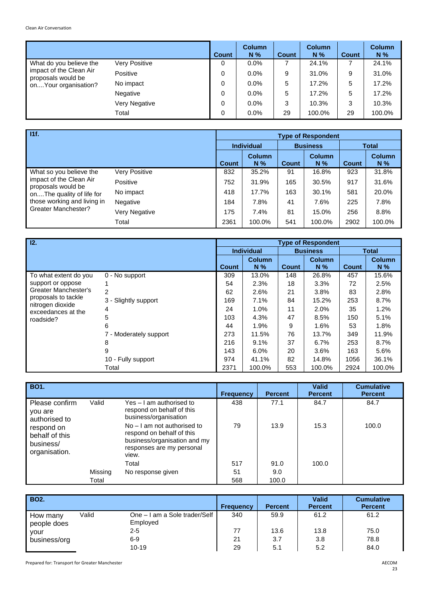|                                                                        |                      | <b>Count</b> | <b>Column</b><br>$N\%$ | <b>Count</b> | <b>Column</b><br>$N\%$ | <b>Count</b> | <b>Column</b><br>N % |
|------------------------------------------------------------------------|----------------------|--------------|------------------------|--------------|------------------------|--------------|----------------------|
| What do you believe the                                                | <b>Very Positive</b> | 0            | 0.0%                   | 7            | 24.1%                  |              | 24.1%                |
| impact of the Clean Air<br>proposals would be<br>on Your organisation? | Positive             | 0            | 0.0%                   | 9            | 31.0%                  | 9            | 31.0%                |
|                                                                        | No impact            | 0            | 0.0%                   | 5            | 17.2%                  | 5            | 17.2%                |
|                                                                        | Negative             | 0            | 0.0%                   | 5            | 17.2%                  | 5            | 17.2%                |
|                                                                        | Very Negative        | 0            | 0.0%                   | 3            | 10.3%                  | 3            | 10.3%                |
|                                                                        | Total                | 0            | 0.0%                   | 29           | 100.0%                 | 29           | 100.0%               |

| 11f.                                               |                      | <b>Type of Respondent</b> |                        |                 |                        |              |                        |  |  |
|----------------------------------------------------|----------------------|---------------------------|------------------------|-----------------|------------------------|--------------|------------------------|--|--|
|                                                    |                      | <b>Individual</b>         |                        | <b>Business</b> |                        | <b>Total</b> |                        |  |  |
|                                                    |                      | <b>Count</b>              | <b>Column</b><br>$N\%$ | Count           | <b>Column</b><br>$N\%$ | Count        | <b>Column</b><br>$N\%$ |  |  |
| What so you believe the                            | <b>Very Positive</b> | 832                       | 35.2%                  | 91              | 16.8%                  | 923          | 31.8%                  |  |  |
| impact of the Clean Air<br>proposals would be      | Positive             | 752                       | 31.9%                  | 165             | 30.5%                  | 917          | 31.6%                  |  |  |
| onThe quality of life for                          | No impact            | 418                       | 17.7%                  | 163             | 30.1%                  | 581          | 20.0%                  |  |  |
| those working and living in<br>Greater Manchester? | Negative             | 184                       | 7.8%                   | 41              | 7.6%                   | 225          | 7.8%                   |  |  |
|                                                    | Very Negative        | 175                       | 7.4%                   | 81              | 15.0%                  | 256          | 8.8%                   |  |  |
|                                                    | Total                | 2361                      | 100.0%                 | 541             | 100.0%                 | 2902         | 100.0%                 |  |  |

| 12.                                    |                        |              |                   |              | <b>Type of Respondent</b> |              |               |
|----------------------------------------|------------------------|--------------|-------------------|--------------|---------------------------|--------------|---------------|
|                                        |                        |              | <b>Individual</b> |              | <b>Business</b>           |              | <b>Total</b>  |
|                                        |                        |              | <b>Column</b>     |              | <b>Column</b>             |              | <b>Column</b> |
|                                        |                        | <b>Count</b> | $N\%$             | <b>Count</b> | $N\%$                     | <b>Count</b> | N %           |
| To what extent do you                  | 0 - No support         | 309          | 13.0%             | 148          | 26.8%                     | 457          | 15.6%         |
| support or oppose                      |                        | 54           | 2.3%              | 18           | 3.3%                      | 72           | 2.5%          |
| Greater Manchester's                   | $\overline{2}$         | 62           | 2.6%              | 21           | 3.8%                      | 83           | 2.8%          |
| proposals to tackle                    | 3 - Slightly support   | 169          | 7.1%              | 84           | 15.2%                     | 253          | 8.7%          |
| nitrogen dioxide<br>exceedances at the | 4                      | 24           | 1.0%              | 11           | 2.0%                      | 35           | 1.2%          |
| roadside?                              | 5                      | 103          | 4.3%              | 47           | 8.5%                      | 150          | 5.1%          |
|                                        | 6                      | 44           | 1.9%              | 9            | 1.6%                      | 53           | 1.8%          |
|                                        | 7 - Moderately support | 273          | 11.5%             | 76           | 13.7%                     | 349          | 11.9%         |
|                                        | 8                      | 216          | 9.1%              | 37           | $6.7\%$                   | 253          | 8.7%          |
|                                        | 9                      | 143          | 6.0%              | 20           | 3.6%                      | 163          | 5.6%          |
|                                        | 10 - Fully support     | 974          | 41.1%             | 82           | 14.8%                     | 1056         | 36.1%         |
|                                        | Total                  | 2371         | 100.0%            | 553          | 100.0%                    | 2924         | 100.0%        |

| <b>BO1.</b>                                                |         |                                                                                                                                  | <b>Frequency</b> | <b>Percent</b> | <b>Valid</b><br><b>Percent</b> | <b>Cumulative</b><br><b>Percent</b> |
|------------------------------------------------------------|---------|----------------------------------------------------------------------------------------------------------------------------------|------------------|----------------|--------------------------------|-------------------------------------|
| Please confirm<br>you are<br>authorised to                 | Valid   | Yes - I am authorised to<br>respond on behalf of this<br>business/organisation                                                   | 438              | 77.1           | 84.7                           | 84.7                                |
| respond on<br>behalf of this<br>business/<br>organisation. |         | $No - I$ am not authorised to<br>respond on behalf of this<br>business/organisation and my<br>responses are my personal<br>view. | 79               | 13.9           | 15.3                           | 100.0                               |
|                                                            |         | Total                                                                                                                            | 517              | 91.0           | 100.0                          |                                     |
|                                                            | Missing | No response given                                                                                                                | 51               | 9.0            |                                |                                     |
|                                                            | Total   |                                                                                                                                  | 568              | 100.0          |                                |                                     |

| <b>BO2.</b>             |       |                                           | <b>Frequency</b> | <b>Percent</b> | <b>Valid</b><br><b>Percent</b> | <b>Cumulative</b><br><b>Percent</b> |
|-------------------------|-------|-------------------------------------------|------------------|----------------|--------------------------------|-------------------------------------|
| How many<br>people does | Valid | One – I am a Sole trader/Self<br>Employed | 340              | 59.9           | 61.2                           | 61.2                                |
| vour                    |       | $2 - 5$                                   | 77               | 13.6           | 13.8                           | 75.0                                |
| business/org            |       | $6 - 9$                                   | 21               | 3.7            | 3.8                            | 78.8                                |
|                         |       | $10 - 19$                                 | 29               | 5.1            | 5.2                            | 84.0                                |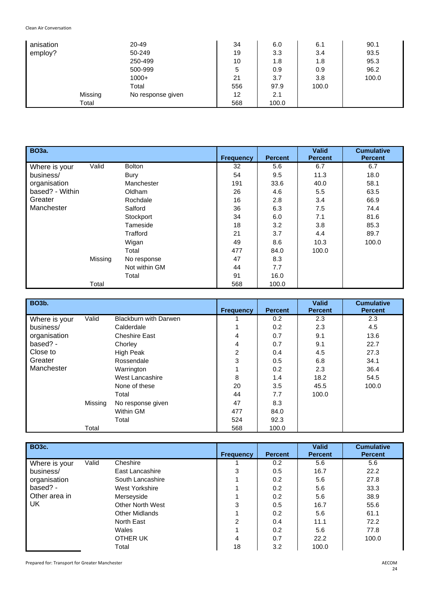| anisation |         | 20-49             | 34  | 6.0   | 6.1   | 90.1  |
|-----------|---------|-------------------|-----|-------|-------|-------|
| employ?   |         | 50-249            | 19  | 3.3   | 3.4   | 93.5  |
|           |         | 250-499           | 10  | 1.8   | 1.8   | 95.3  |
|           |         | 500-999           | 5   | 0.9   | 0.9   | 96.2  |
|           |         | $1000+$           | 21  | 3.7   | 3.8   | 100.0 |
|           |         | Total             | 556 | 97.9  | 100.0 |       |
|           | Missing | No response given | 12  | 2.1   |       |       |
|           | Total   |                   | 568 | 100.0 |       |       |

| <b>BO3a.</b>    |         |               | <b>Frequency</b> | <b>Percent</b> | <b>Valid</b><br><b>Percent</b> | <b>Cumulative</b><br><b>Percent</b> |
|-----------------|---------|---------------|------------------|----------------|--------------------------------|-------------------------------------|
| Where is your   | Valid   | <b>Bolton</b> | 32               | 5.6            | 6.7                            | 6.7                                 |
| business/       |         | Bury          | 54               | 9.5            | 11.3                           | 18.0                                |
| organisation    |         | Manchester    | 191              | 33.6           | 40.0                           | 58.1                                |
| based? - Within |         | Oldham        | 26               | 4.6            | 5.5                            | 63.5                                |
| Greater         |         | Rochdale      | 16               | 2.8            | 3.4                            | 66.9                                |
| Manchester      |         | Salford       | 36               | 6.3            | 7.5                            | 74.4                                |
|                 |         | Stockport     | 34               | 6.0            | 7.1                            | 81.6                                |
|                 |         | Tameside      | 18               | 3.2            | 3.8                            | 85.3                                |
|                 |         | Trafford      | 21               | 3.7            | 4.4                            | 89.7                                |
|                 |         | Wigan         | 49               | 8.6            | 10.3                           | 100.0                               |
|                 |         | Total         | 477              | 84.0           | 100.0                          |                                     |
|                 | Missing | No response   | 47               | 8.3            |                                |                                     |
|                 |         | Not within GM | 44               | 7.7            |                                |                                     |
|                 |         | Total         | 91               | 16.0           |                                |                                     |
|                 | Total   |               | 568              | 100.0          |                                |                                     |

| <b>BO3b.</b>  |         |                              | <b>Frequency</b> | <b>Percent</b> | <b>Valid</b><br><b>Percent</b> | <b>Cumulative</b><br><b>Percent</b> |
|---------------|---------|------------------------------|------------------|----------------|--------------------------------|-------------------------------------|
| Where is your | Valid   | <b>Blackburn with Darwen</b> |                  | 0.2            | 2.3                            | 2.3                                 |
| business/     |         | Calderdale                   |                  | 0.2            | 2.3                            | 4.5                                 |
| organisation  |         | <b>Cheshire East</b>         | 4                | 0.7            | 9.1                            | 13.6                                |
| based? -      |         | Chorley                      | 4                | 0.7            | 9.1                            | 22.7                                |
| Close to      |         | High Peak                    | 2                | 0.4            | 4.5                            | 27.3                                |
| Greater       |         | Rossendale                   | 3                | 0.5            | 6.8                            | 34.1                                |
| Manchester    |         | Warrington                   |                  | 0.2            | 2.3                            | 36.4                                |
|               |         | West Lancashire              | 8                | 1.4            | 18.2                           | 54.5                                |
|               |         | None of these                | 20               | 3.5            | 45.5                           | 100.0                               |
|               |         | Total                        | 44               | 7.7            | 100.0                          |                                     |
|               | Missing | No response given            | 47               | 8.3            |                                |                                     |
|               |         | Within GM                    | 477              | 84.0           |                                |                                     |
|               |         | Total                        | 524              | 92.3           |                                |                                     |
|               | Total   |                              | 568              | 100.0          |                                |                                     |

| <b>BO3c.</b>  |       |                         | <b>Frequency</b> | <b>Percent</b> | <b>Valid</b><br><b>Percent</b> | <b>Cumulative</b><br><b>Percent</b> |
|---------------|-------|-------------------------|------------------|----------------|--------------------------------|-------------------------------------|
| Where is your | Valid | Cheshire                |                  | 0.2            | 5.6                            | 5.6                                 |
| business/     |       | East Lancashire         | 3                | 0.5            | 16.7                           | 22.2                                |
| organisation  |       | South Lancashire        |                  | 0.2            | 5.6                            | 27.8                                |
| based? -      |       | <b>West Yorkshire</b>   |                  | 0.2            | 5.6                            | 33.3                                |
| Other area in |       | Merseyside              |                  | 0.2            | 5.6                            | 38.9                                |
| UK.           |       | <b>Other North West</b> | 3                | 0.5            | 16.7                           | 55.6                                |
|               |       | <b>Other Midlands</b>   |                  | 0.2            | 5.6                            | 61.1                                |
|               |       | North East              | $\overline{2}$   | 0.4            | 11.1                           | 72.2                                |
|               |       | Wales                   |                  | 0.2            | 5.6                            | 77.8                                |
|               |       | OTHER UK                | 4                | 0.7            | 22.2                           | 100.0                               |
|               |       | Total                   | 18               | 3.2            | 100.0                          |                                     |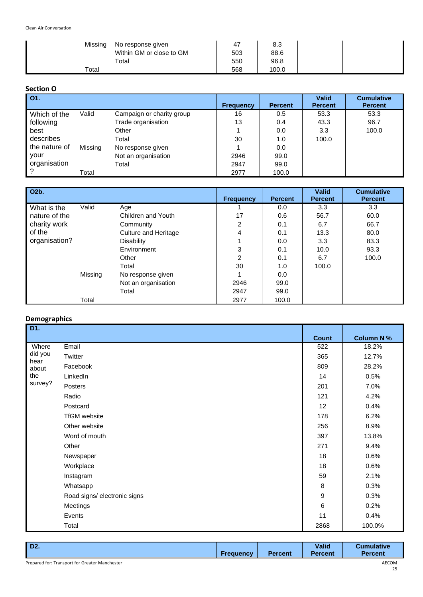| Missing     | No response given        | 47  | 8.3   |  |
|-------------|--------------------------|-----|-------|--|
|             | Within GM or close to GM | 503 | 88.6  |  |
|             | Total                    | 550 | 96.8  |  |
| $\tau$ otal |                          | 568 | 100.0 |  |

# **Section O**

| $\overline{O1}$ . |         |                           |                  |                | <b>Valid</b>   | <b>Cumulative</b> |
|-------------------|---------|---------------------------|------------------|----------------|----------------|-------------------|
|                   |         |                           | <b>Frequency</b> | <b>Percent</b> | <b>Percent</b> | <b>Percent</b>    |
| Which of the      | Valid   | Campaign or charity group | 16               | 0.5            | 53.3           | 53.3              |
| following         |         | Trade organisation        | 13               | 0.4            | 43.3           | 96.7              |
| best              |         | Other                     |                  | 0.0            | 3.3            | 100.0             |
| describes         |         | Total                     | 30               | 1.0            | 100.0          |                   |
| the nature of     | Missing | No response given         |                  | 0.0            |                |                   |
| vour              |         | Not an organisation       | 2946             | 99.0           |                |                   |
| organisation      |         | Total                     | 2947             | 99.0           |                |                   |
|                   | Total   |                           | 2977             | 100.0          |                |                   |

| O2b.          |         |                      | <b>Frequency</b> | <b>Percent</b> | <b>Valid</b><br><b>Percent</b> | <b>Cumulative</b><br><b>Percent</b> |
|---------------|---------|----------------------|------------------|----------------|--------------------------------|-------------------------------------|
| What is the   | Valid   | Age                  |                  | 0.0            | 3.3                            | 3.3                                 |
| nature of the |         | Children and Youth   | 17               | 0.6            | 56.7                           | 60.0                                |
| charity work  |         | Community            | 2                | 0.1            | 6.7                            | 66.7                                |
| of the        |         | Culture and Heritage | 4                | 0.1            | 13.3                           | 80.0                                |
| organisation? |         | <b>Disability</b>    | 1                | 0.0            | 3.3                            | 83.3                                |
|               |         | Environment          | 3                | 0.1            | 10.0                           | 93.3                                |
|               |         | Other                | $\overline{2}$   | 0.1            | 6.7                            | 100.0                               |
|               |         | Total                | 30               | 1.0            | 100.0                          |                                     |
|               | Missing | No response given    |                  | 0.0            |                                |                                     |
|               |         | Not an organisation  | 2946             | 99.0           |                                |                                     |
|               |         | Total                | 2947             | 99.0           |                                |                                     |
|               | Total   |                      | 2977             | 100.0          |                                |                                     |

### **Demographics**

| D1.             |                              |                  |                  |
|-----------------|------------------------------|------------------|------------------|
|                 |                              | <b>Count</b>     | <b>Column N%</b> |
| Where           | Email                        | 522              | 18.2%            |
| did you<br>hear | Twitter                      | 365              | 12.7%            |
| about           | Facebook                     | 809              | 28.2%            |
| the             | LinkedIn                     | 14               | 0.5%             |
| survey?         | Posters                      | 201              | 7.0%             |
|                 | Radio                        | 121              | 4.2%             |
|                 | Postcard                     | 12               | 0.4%             |
|                 | <b>TfGM</b> website          | 178              | 6.2%             |
|                 | Other website                | 256              | 8.9%             |
|                 | Word of mouth                | 397              | 13.8%            |
|                 | Other                        | 271              | 9.4%             |
|                 | Newspaper                    | 18               | 0.6%             |
|                 | Workplace                    | 18               | 0.6%             |
|                 | Instagram                    | 59               | 2.1%             |
|                 | Whatsapp                     | 8                | 0.3%             |
|                 | Road signs/ electronic signs | $\boldsymbol{9}$ | 0.3%             |
|                 | Meetings                     | $\,6\,$          | 0.2%             |
|                 | Events                       | 11               | 0.4%             |
|                 | Total                        | 2868             | 100.0%           |

| D <sub>2</sub>                                                                         |                  |                | <b>Valid</b>   | Cumulative     |
|----------------------------------------------------------------------------------------|------------------|----------------|----------------|----------------|
|                                                                                        | <b>Frequency</b> | <b>Percent</b> | <b>Percent</b> | <b>Percent</b> |
| $\sim$ $\sim$ $\sim$ $\sim$ $\sim$ $\sim$<br>$\sim$ $\sim$ $\sim$ $\sim$ $\sim$ $\sim$ |                  |                |                |                |

Prepared for: Transport for Greater Manchester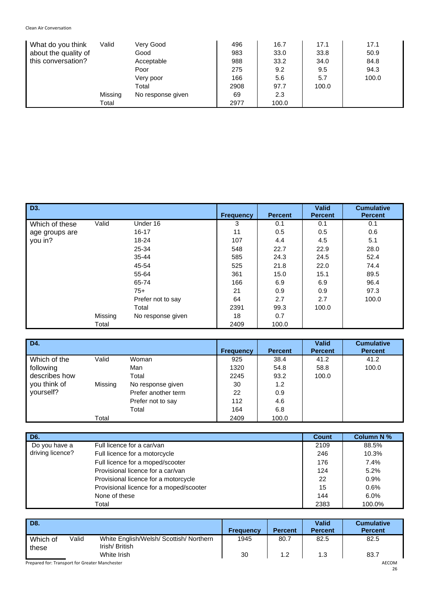| What do you think    | Valid   | Very Good         | 496  | 16.7  | 17.1  | 17.1  |
|----------------------|---------|-------------------|------|-------|-------|-------|
| about the quality of |         | Good              | 983  | 33.0  | 33.8  | 50.9  |
| this conversation?   |         | Acceptable        | 988  | 33.2  | 34.0  | 84.8  |
|                      |         | Poor              | 275  | 9.2   | 9.5   | 94.3  |
|                      |         | Very poor         | 166  | 5.6   | 5.7   | 100.0 |
|                      |         | Total             | 2908 | 97.7  | 100.0 |       |
|                      | Missing | No response given | 69   | 2.3   |       |       |
|                      | Total   |                   | 2977 | 100.0 |       |       |

| D <sub>3</sub> . |         |                   | <b>Frequency</b> | <b>Percent</b> | <b>Valid</b><br><b>Percent</b> | <b>Cumulative</b><br><b>Percent</b> |
|------------------|---------|-------------------|------------------|----------------|--------------------------------|-------------------------------------|
| Which of these   | Valid   | Under 16          | 3                | 0.1            | 0.1                            | 0.1                                 |
| age groups are   |         | $16 - 17$         | 11               | 0.5            | 0.5                            | 0.6                                 |
| you in?          |         | 18-24             | 107              | 4.4            | 4.5                            | 5.1                                 |
|                  |         | 25-34             | 548              | 22.7           | 22.9                           | 28.0                                |
|                  |         | $35 - 44$         | 585              | 24.3           | 24.5                           | 52.4                                |
|                  |         | 45-54             | 525              | 21.8           | 22.0                           | 74.4                                |
|                  |         | 55-64             | 361              | 15.0           | 15.1                           | 89.5                                |
|                  |         | 65-74             | 166              | 6.9            | 6.9                            | 96.4                                |
|                  |         | $75+$             | 21               | 0.9            | 0.9                            | 97.3                                |
|                  |         | Prefer not to say | 64               | 2.7            | 2.7                            | 100.0                               |
|                  |         | Total             | 2391             | 99.3           | 100.0                          |                                     |
|                  | Missing | No response given | 18               | 0.7            |                                |                                     |
|                  | Total   |                   | 2409             | 100.0          |                                |                                     |

| D4.           |         |                     | <b>Frequency</b> | <b>Percent</b> | <b>Valid</b><br><b>Percent</b> | <b>Cumulative</b><br><b>Percent</b> |
|---------------|---------|---------------------|------------------|----------------|--------------------------------|-------------------------------------|
| Which of the  | Valid   | Woman               | 925              | 38.4           | 41.2                           | 41.2                                |
| following     |         | Man                 | 1320             | 54.8           | 58.8                           | 100.0                               |
| describes how |         | Total               | 2245             | 93.2           | 100.0                          |                                     |
| you think of  | Missing | No response given   | 30               | 1.2            |                                |                                     |
| yourself?     |         | Prefer another term | 22               | 0.9            |                                |                                     |
|               |         | Prefer not to say   | 112              | 4.6            |                                |                                     |
|               |         | Total               | 164              | 6.8            |                                |                                     |
|               | Total   |                     | 2409             | 100.0          |                                |                                     |

| D6.              |                                         | <b>Count</b> | <b>Column N %</b> |
|------------------|-----------------------------------------|--------------|-------------------|
| Do you have a    | Full licence for a car/van              | 2109         | 88.5%             |
| driving licence? | Full licence for a motorcycle           | 246          | 10.3%             |
|                  | Full licence for a moped/scooter        | 176          | 7.4%              |
|                  | Provisional licence for a car/van       | 124          | 5.2%              |
|                  | Provisional licence for a motorcycle    | 22           | 0.9%              |
|                  | Provisional licence for a moped/scooter | 15           | 0.6%              |
|                  | None of these                           | 144          | 6.0%              |
|                  | Total                                   | 2383         | 100.0%            |

| D8.                                            |       |                                                          | <b>Frequency</b> | <b>Percent</b> | <b>Valid</b><br><b>Percent</b> | <b>Cumulative</b><br><b>Percent</b> |
|------------------------------------------------|-------|----------------------------------------------------------|------------------|----------------|--------------------------------|-------------------------------------|
| Which of<br>these                              | Valid | White English/Welsh/ Scottish/ Northern<br>Irish/British | 1945             | 80.7           | 82.5                           | 82.5                                |
|                                                |       | White Irish                                              | 30               | 1.2            | 1.3                            | 83.7                                |
| Prepared for: Transport for Greater Manchester |       |                                                          |                  |                |                                | AECOM                               |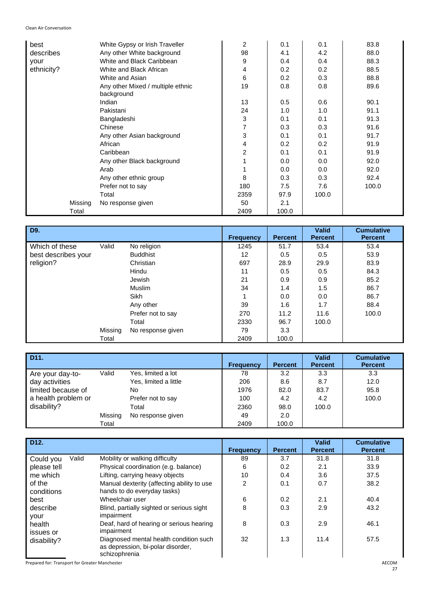| best       | White Gypsy or Irish Traveller                  | 2    | 0.1   | 0.1   | 83.8  |
|------------|-------------------------------------------------|------|-------|-------|-------|
| describes  | Any other White background                      | 98   | 4.1   | 4.2   | 88.0  |
| your       | White and Black Caribbean                       | 9    | 0.4   | 0.4   | 88.3  |
| ethnicity? | White and Black African                         | 4    | 0.2   | 0.2   | 88.5  |
|            | White and Asian                                 | 6    | 0.2   | 0.3   | 88.8  |
|            | Any other Mixed / multiple ethnic<br>background | 19   | 0.8   | 0.8   | 89.6  |
|            | Indian                                          | 13   | 0.5   | 0.6   | 90.1  |
|            | Pakistani                                       | 24   | 1.0   | 1.0   | 91.1  |
|            | Bangladeshi                                     | 3    | 0.1   | 0.1   | 91.3  |
|            | Chinese                                         | 7    | 0.3   | 0.3   | 91.6  |
|            | Any other Asian background                      | 3    | 0.1   | 0.1   | 91.7  |
|            | African                                         | 4    | 0.2   | 0.2   | 91.9  |
|            | Caribbean                                       | 2    | 0.1   | 0.1   | 91.9  |
|            | Any other Black background                      |      | 0.0   | 0.0   | 92.0  |
|            | Arab                                            |      | 0.0   | 0.0   | 92.0  |
|            | Any other ethnic group                          | 8    | 0.3   | 0.3   | 92.4  |
|            | Prefer not to say                               | 180  | 7.5   | 7.6   | 100.0 |
|            | Total                                           | 2359 | 97.9  | 100.0 |       |
| Missing    | No response given                               | 50   | 2.1   |       |       |
| Total      |                                                 | 2409 | 100.0 |       |       |

| D9.                 |         |                   | <b>Frequency</b> | <b>Percent</b> | <b>Valid</b><br><b>Percent</b> | <b>Cumulative</b><br><b>Percent</b> |
|---------------------|---------|-------------------|------------------|----------------|--------------------------------|-------------------------------------|
| Which of these      | Valid   | No religion       | 1245             | 51.7           | 53.4                           | 53.4                                |
| best describes your |         | <b>Buddhist</b>   | 12               | 0.5            | 0.5                            | 53.9                                |
| religion?           |         | Christian         | 697              | 28.9           | 29.9                           | 83.9                                |
|                     |         | Hindu             | 11               | 0.5            | 0.5                            | 84.3                                |
|                     |         | <b>Jewish</b>     | 21               | 0.9            | 0.9                            | 85.2                                |
|                     |         | Muslim            | 34               | 1.4            | 1.5                            | 86.7                                |
|                     |         | <b>Sikh</b>       |                  | 0.0            | 0.0                            | 86.7                                |
|                     |         | Any other         | 39               | 1.6            | 1.7                            | 88.4                                |
|                     |         | Prefer not to say | 270              | 11.2           | 11.6                           | 100.0                               |
|                     |         | Total             | 2330             | 96.7           | 100.0                          |                                     |
|                     | Missing | No response given | 79               | 3.3            |                                |                                     |
|                     | Total   |                   | 2409             | 100.0          |                                |                                     |

| D <sub>11</sub> .   |         |                       | <b>Frequency</b> | <b>Percent</b> | <b>Valid</b><br><b>Percent</b> | <b>Cumulative</b><br><b>Percent</b> |
|---------------------|---------|-----------------------|------------------|----------------|--------------------------------|-------------------------------------|
| Are your day-to-    | Valid   | Yes, limited a lot    | 78               | 3.2            | 3.3                            | 3.3                                 |
| day activities      |         | Yes, limited a little | 206              | 8.6            | 8.7                            | 12.0                                |
| limited because of  |         | No.                   | 1976             | 82.0           | 83.7                           | 95.8                                |
| a health problem or |         | Prefer not to say     | 100              | 4.2            | 4.2                            | 100.0                               |
| disability?         |         | Total                 | 2360             | 98.0           | 100.0                          |                                     |
|                     | Missing | No response given     | 49               | 2.0            |                                |                                     |
|                     | Total   |                       | 2409             | 100.0          |                                |                                     |

| D <sub>12</sub> .    |       |                                                                                              | <b>Frequency</b> | <b>Percent</b> | <b>Valid</b><br><b>Percent</b> | <b>Cumulative</b><br><b>Percent</b> |
|----------------------|-------|----------------------------------------------------------------------------------------------|------------------|----------------|--------------------------------|-------------------------------------|
| Could you            | Valid | Mobility or walking difficulty                                                               | 89               | 3.7            | 31.8                           | 31.8                                |
| please tell          |       | Physical coordination (e.g. balance)                                                         | 6                | 0.2            | 2.1                            | 33.9                                |
| me which             |       | Lifting, carrying heavy objects                                                              | 10               | 0.4            | 3.6                            | 37.5                                |
| of the<br>conditions |       | Manual dexterity (affecting ability to use<br>hands to do everyday tasks)                    | 2                | 0.1            | 0.7                            | 38.2                                |
| best                 |       | Wheelchair user                                                                              | 6                | 0.2            | 2.1                            | 40.4                                |
| describe<br>your     |       | Blind, partially sighted or serious sight<br>impairment                                      | 8                | 0.3            | 2.9                            | 43.2                                |
| health<br>issues or  |       | Deaf, hard of hearing or serious hearing<br>impairment                                       | 8                | 0.3            | 2.9                            | 46.1                                |
| disability?          |       | Diagnosed mental health condition such<br>as depression, bi-polar disorder,<br>schizophrenia | 32               | 1.3            | 11.4                           | 57.5                                |

Prepared for: Transport for Greater Manchester